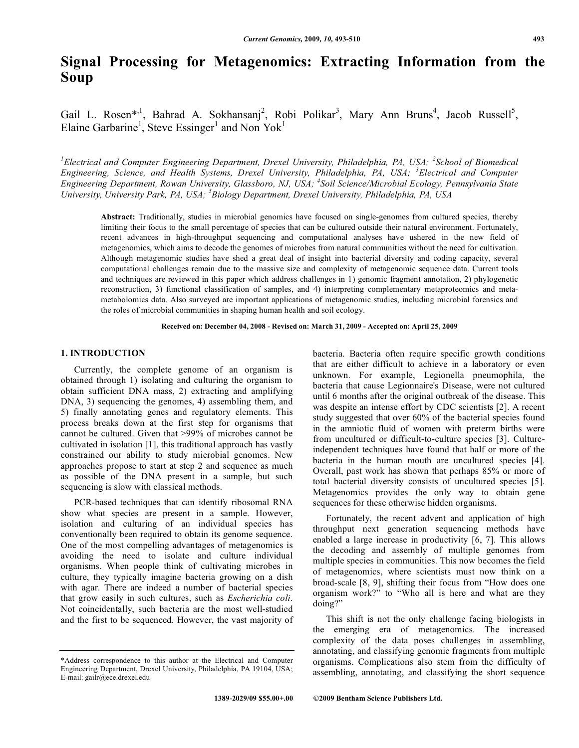# **Signal Processing for Metagenomics: Extracting Information from the Soup**

Gail L. Rosen\*<sup>,1</sup>, Bahrad A. Sokhansanj<sup>2</sup>, Robi Polikar<sup>3</sup>, Mary Ann Bruns<sup>4</sup>, Jacob Russell<sup>5</sup>, Elaine Garbarine<sup>1</sup>, Steve Essinger<sup>1</sup> and Non Yok<sup>1</sup>

*1 Electrical and Computer Engineering Department, Drexel University, Philadelphia, PA, USA; <sup>2</sup> School of Biomedical Engineering, Science, and Health Systems, Drexel University, Philadelphia, PA, USA; <sup>3</sup> Electrical and Computer Engineering Department, Rowan University, Glassboro, NJ, USA; <sup>4</sup> Soil Science/Microbial Ecology, Pennsylvania State University, University Park, PA, USA; <sup>5</sup> Biology Department, Drexel University, Philadelphia, PA, USA*

**Abstract:** Traditionally, studies in microbial genomics have focused on single-genomes from cultured species, thereby limiting their focus to the small percentage of species that can be cultured outside their natural environment. Fortunately, recent advances in high-throughput sequencing and computational analyses have ushered in the new field of metagenomics, which aims to decode the genomes of microbes from natural communities without the need for cultivation. Although metagenomic studies have shed a great deal of insight into bacterial diversity and coding capacity, several computational challenges remain due to the massive size and complexity of metagenomic sequence data. Current tools and techniques are reviewed in this paper which address challenges in 1) genomic fragment annotation, 2) phylogenetic reconstruction, 3) functional classification of samples, and 4) interpreting complementary metaproteomics and metametabolomics data. Also surveyed are important applications of metagenomic studies, including microbial forensics and the roles of microbial communities in shaping human health and soil ecology.

#### **Received on: December 04, 2008 - Revised on: March 31, 2009 - Accepted on: April 25, 2009**

# **1. INTRODUCTION**

Currently, the complete genome of an organism is obtained through 1) isolating and culturing the organism to obtain sufficient DNA mass, 2) extracting and amplifying DNA, 3) sequencing the genomes, 4) assembling them, and 5) finally annotating genes and regulatory elements. This process breaks down at the first step for organisms that cannot be cultured. Given that >99% of microbes cannot be cultivated in isolation [1], this traditional approach has vastly constrained our ability to study microbial genomes. New approaches propose to start at step 2 and sequence as much as possible of the DNA present in a sample, but such sequencing is slow with classical methods.

PCR-based techniques that can identify ribosomal RNA show what species are present in a sample. However, isolation and culturing of an individual species has conventionally been required to obtain its genome sequence. One of the most compelling advantages of metagenomics is avoiding the need to isolate and culture individual organisms. When people think of cultivating microbes in culture, they typically imagine bacteria growing on a dish with agar. There are indeed a number of bacterial species that grow easily in such cultures, such as *Escherichia coli*. Not coincidentally, such bacteria are the most well-studied and the first to be sequenced. However, the vast majority of bacteria. Bacteria often require specific growth conditions that are either difficult to achieve in a laboratory or even unknown. For example, Legionella pneumophila, the bacteria that cause Legionnaire's Disease, were not cultured until 6 months after the original outbreak of the disease. This was despite an intense effort by CDC scientists [2]. A recent study suggested that over 60% of the bacterial species found in the amniotic fluid of women with preterm births were from uncultured or difficult-to-culture species [3]. Cultureindependent techniques have found that half or more of the bacteria in the human mouth are uncultured species [4]. Overall, past work has shown that perhaps 85% or more of total bacterial diversity consists of uncultured species [5]. Metagenomics provides the only way to obtain gene sequences for these otherwise hidden organisms.

Fortunately, the recent advent and application of high throughput next generation sequencing methods have enabled a large increase in productivity [6, 7]. This allows the decoding and assembly of multiple genomes from multiple species in communities. This now becomes the field of metagenomics, where scientists must now think on a broad-scale [8, 9], shifting their focus from "How does one organism work?" to "Who all is here and what are they doing?"

This shift is not the only challenge facing biologists in the emerging era of metagenomics. The increased complexity of the data poses challenges in assembling, annotating, and classifying genomic fragments from multiple organisms. Complications also stem from the difficulty of assembling, annotating, and classifying the short sequence

<sup>\*</sup>Address correspondence to this author at the Electrical and Computer Engineering Department, Drexel University, Philadelphia, PA 19104, USA; E-mail: gailr@ece.drexel.edu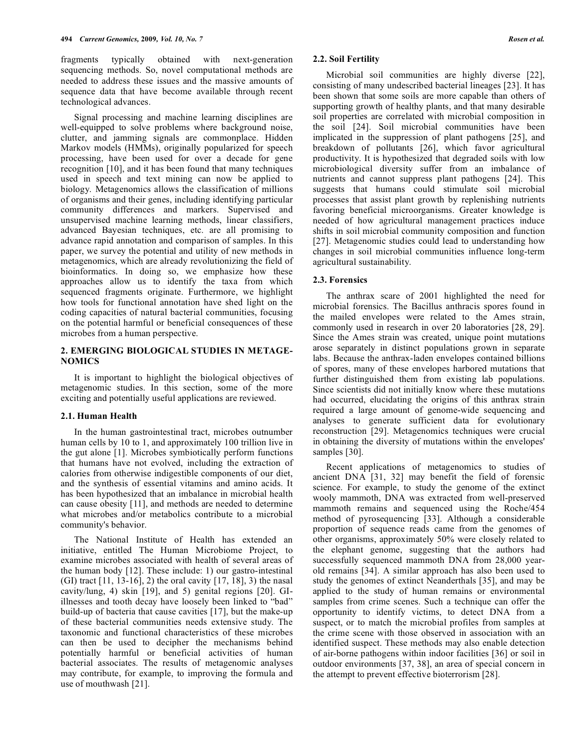fragments typically obtained with next-generation sequencing methods. So, novel computational methods are needed to address these issues and the massive amounts of sequence data that have become available through recent technological advances.

Signal processing and machine learning disciplines are well-equipped to solve problems where background noise, clutter, and jamming signals are commonplace. Hidden Markov models (HMMs), originally popularized for speech processing, have been used for over a decade for gene recognition [10], and it has been found that many techniques used in speech and text mining can now be applied to biology. Metagenomics allows the classification of millions of organisms and their genes, including identifying particular community differences and markers. Supervised and unsupervised machine learning methods, linear classifiers, advanced Bayesian techniques, etc. are all promising to advance rapid annotation and comparison of samples. In this paper, we survey the potential and utility of new methods in metagenomics, which are already revolutionizing the field of bioinformatics. In doing so, we emphasize how these approaches allow us to identify the taxa from which sequenced fragments originate. Furthermore, we highlight how tools for functional annotation have shed light on the coding capacities of natural bacterial communities, focusing on the potential harmful or beneficial consequences of these microbes from a human perspective.

#### **2. EMERGING BIOLOGICAL STUDIES IN METAGE-NOMICS**

It is important to highlight the biological objectives of metagenomic studies. In this section, some of the more exciting and potentially useful applications are reviewed.

#### **2.1. Human Health**

In the human gastrointestinal tract, microbes outnumber human cells by 10 to 1, and approximately 100 trillion live in the gut alone [1]. Microbes symbiotically perform functions that humans have not evolved, including the extraction of calories from otherwise indigestible components of our diet, and the synthesis of essential vitamins and amino acids. It has been hypothesized that an imbalance in microbial health can cause obesity [11], and methods are needed to determine what microbes and/or metabolics contribute to a microbial community's behavior.

The National Institute of Health has extended an initiative, entitled The Human Microbiome Project, to examine microbes associated with health of several areas of the human body [12]. These include: 1) our gastro-intestinal (GI) tract [11, 13-16], 2) the oral cavity [17, 18], 3) the nasal cavity/lung, 4) skin [19], and 5) genital regions [20]. GIillnesses and tooth decay have loosely been linked to "bad" build-up of bacteria that cause cavities [17], but the make-up of these bacterial communities needs extensive study. The taxonomic and functional characteristics of these microbes can then be used to decipher the mechanisms behind potentially harmful or beneficial activities of human bacterial associates. The results of metagenomic analyses may contribute, for example, to improving the formula and use of mouthwash [21].

#### **2.2. Soil Fertility**

Microbial soil communities are highly diverse [22], consisting of many undescribed bacterial lineages [23]. It has been shown that some soils are more capable than others of supporting growth of healthy plants, and that many desirable soil properties are correlated with microbial composition in the soil [24]. Soil microbial communities have been implicated in the suppression of plant pathogens [25], and breakdown of pollutants [26], which favor agricultural productivity. It is hypothesized that degraded soils with low microbiological diversity suffer from an imbalance of nutrients and cannot suppress plant pathogens [24]. This suggests that humans could stimulate soil microbial processes that assist plant growth by replenishing nutrients favoring beneficial microorganisms. Greater knowledge is needed of how agricultural management practices induce shifts in soil microbial community composition and function [27]. Metagenomic studies could lead to understanding how changes in soil microbial communities influence long-term agricultural sustainability.

#### **2.3. Forensics**

The anthrax scare of 2001 highlighted the need for microbial forensics. The Bacillus anthracis spores found in the mailed envelopes were related to the Ames strain, commonly used in research in over 20 laboratories [28, 29]. Since the Ames strain was created, unique point mutations arose separately in distinct populations grown in separate labs. Because the anthrax-laden envelopes contained billions of spores, many of these envelopes harbored mutations that further distinguished them from existing lab populations. Since scientists did not initially know where these mutations had occurred, elucidating the origins of this anthrax strain required a large amount of genome-wide sequencing and analyses to generate sufficient data for evolutionary reconstruction [29]. Metagenomics techniques were crucial in obtaining the diversity of mutations within the envelopes' samples [30].

Recent applications of metagenomics to studies of ancient DNA [31, 32] may benefit the field of forensic science. For example, to study the genome of the extinct wooly mammoth, DNA was extracted from well-preserved mammoth remains and sequenced using the Roche/454 method of pyrosequencing [33]. Although a considerable proportion of sequence reads came from the genomes of other organisms, approximately 50% were closely related to the elephant genome, suggesting that the authors had successfully sequenced mammoth DNA from 28,000 yearold remains [34]. A similar approach has also been used to study the genomes of extinct Neanderthals [35], and may be applied to the study of human remains or environmental samples from crime scenes. Such a technique can offer the opportunity to identify victims, to detect DNA from a suspect, or to match the microbial profiles from samples at the crime scene with those observed in association with an identified suspect. These methods may also enable detection of air-borne pathogens within indoor facilities [36] or soil in outdoor environments [37, 38], an area of special concern in the attempt to prevent effective bioterrorism [28].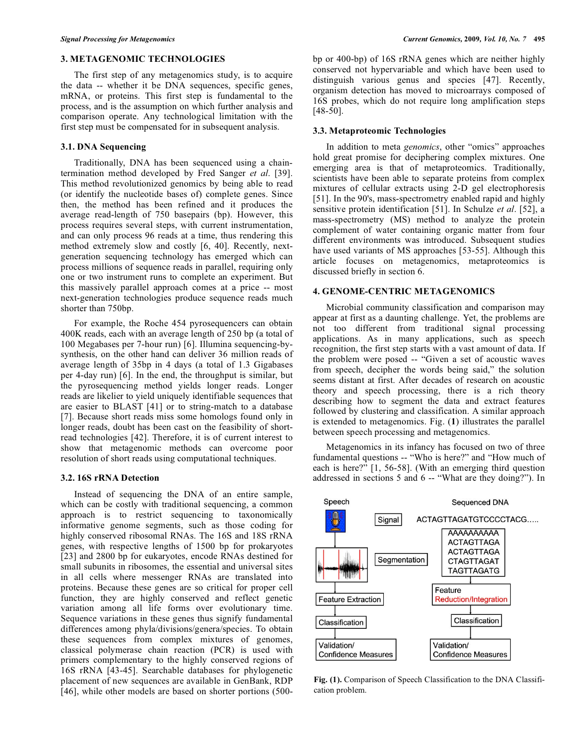# **3. METAGENOMIC TECHNOLOGIES**

The first step of any metagenomics study, is to acquire the data -- whether it be DNA sequences, specific genes, mRNA, or proteins. This first step is fundamental to the process, and is the assumption on which further analysis and comparison operate. Any technological limitation with the first step must be compensated for in subsequent analysis.

# **3.1. DNA Sequencing**

Traditionally, DNA has been sequenced using a chaintermination method developed by Fred Sanger *et al*. [39]. This method revolutionized genomics by being able to read (or identify the nucleotide bases of) complete genes. Since then, the method has been refined and it produces the average read-length of 750 basepairs (bp). However, this process requires several steps, with current instrumentation, and can only process 96 reads at a time, thus rendering this method extremely slow and costly [6, 40]. Recently, nextgeneration sequencing technology has emerged which can process millions of sequence reads in parallel, requiring only one or two instrument runs to complete an experiment. But this massively parallel approach comes at a price -- most next-generation technologies produce sequence reads much shorter than 750bp.

For example, the Roche 454 pyrosequencers can obtain 400K reads, each with an average length of 250 bp (a total of 100 Megabases per 7-hour run) [6]. Illumina sequencing-bysynthesis, on the other hand can deliver 36 million reads of average length of 35bp in 4 days (a total of 1.3 Gigabases per 4-day run) [6]. In the end, the throughput is similar, but the pyrosequencing method yields longer reads. Longer reads are likelier to yield uniquely identifiable sequences that are easier to BLAST [41] or to string-match to a database [7]. Because short reads miss some homologs found only in longer reads, doubt has been cast on the feasibility of shortread technologies [42]. Therefore, it is of current interest to show that metagenomic methods can overcome poor resolution of short reads using computational techniques.

# **3.2. 16S rRNA Detection**

Instead of sequencing the DNA of an entire sample, which can be costly with traditional sequencing, a common approach is to restrict sequencing to taxonomically informative genome segments, such as those coding for highly conserved ribosomal RNAs. The 16S and 18S rRNA genes, with respective lengths of 1500 bp for prokaryotes [23] and 2800 bp for eukaryotes, encode RNAs destined for small subunits in ribosomes, the essential and universal sites in all cells where messenger RNAs are translated into proteins. Because these genes are so critical for proper cell function, they are highly conserved and reflect genetic variation among all life forms over evolutionary time. Sequence variations in these genes thus signify fundamental differences among phyla/divisions/genera/species. To obtain these sequences from complex mixtures of genomes, classical polymerase chain reaction (PCR) is used with primers complementary to the highly conserved regions of 16S rRNA [43-45]. Searchable databases for phylogenetic placement of new sequences are available in GenBank, RDP [46], while other models are based on shorter portions (500bp or 400-bp) of 16S rRNA genes which are neither highly conserved not hypervariable and which have been used to distinguish various genus and species [47]. Recently, organism detection has moved to microarrays composed of 16S probes, which do not require long amplification steps [48-50].

# **3.3. Metaproteomic Technologies**

In addition to meta *genomics*, other "omics" approaches hold great promise for deciphering complex mixtures. One emerging area is that of metaproteomics. Traditionally, scientists have been able to separate proteins from complex mixtures of cellular extracts using 2-D gel electrophoresis [51]. In the 90's, mass-spectrometry enabled rapid and highly sensitive protein identification [51]. In Schulze *et al*. [52], a mass-spectrometry (MS) method to analyze the protein complement of water containing organic matter from four different environments was introduced. Subsequent studies have used variants of MS approaches [53-55]. Although this article focuses on metagenomics, metaproteomics is discussed briefly in section 6.

# **4. GENOME-CENTRIC METAGENOMICS**

Microbial community classification and comparison may appear at first as a daunting challenge. Yet, the problems are not too different from traditional signal processing applications. As in many applications, such as speech recognition, the first step starts with a vast amount of data. If the problem were posed -- "Given a set of acoustic waves from speech, decipher the words being said," the solution seems distant at first. After decades of research on acoustic theory and speech processing, there is a rich theory describing how to segment the data and extract features followed by clustering and classification. A similar approach is extended to metagenomics. Fig. (**1**) illustrates the parallel between speech processing and metagenomics.

Metagenomics in its infancy has focused on two of three fundamental questions -- "Who is here?" and "How much of each is here?" [1, 56-58]. (With an emerging third question addressed in sections 5 and 6 -- "What are they doing?"). In



**Fig. (1).** Comparison of Speech Classification to the DNA Classification problem.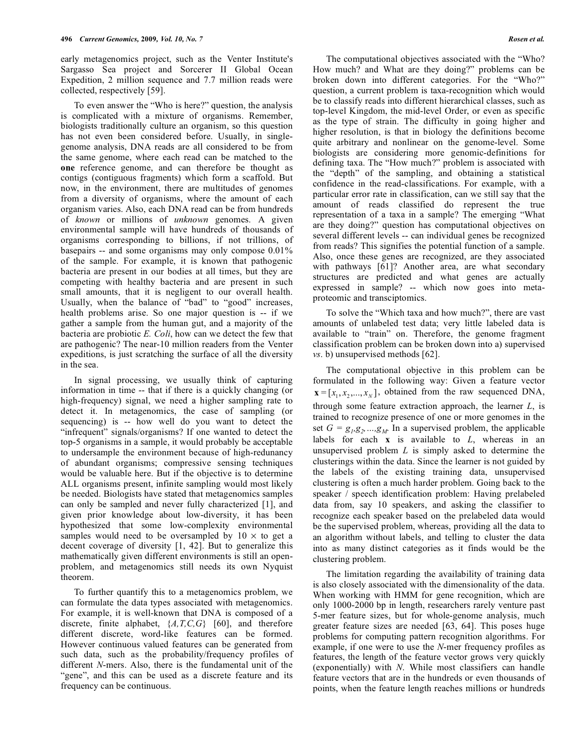early metagenomics project, such as the Venter Institute's Sargasso Sea project and Sorcerer II Global Ocean Expedition, 2 million sequence and 7.7 million reads were collected, respectively [59].

To even answer the "Who is here?" question, the analysis is complicated with a mixture of organisms. Remember, biologists traditionally culture an organism, so this question has not even been considered before. Usually, in singlegenome analysis, DNA reads are all considered to be from the same genome, where each read can be matched to the **one** reference genome, and can therefore be thought as contigs (contiguous fragments) which form a scaffold. But now, in the environment, there are multitudes of genomes from a diversity of organisms, where the amount of each organism varies. Also, each DNA read can be from hundreds of *known* or millions of *unknown* genomes. A given environmental sample will have hundreds of thousands of organisms corresponding to billions, if not trillions, of basepairs -- and some organisms may only compose 0.01% of the sample. For example, it is known that pathogenic bacteria are present in our bodies at all times, but they are competing with healthy bacteria and are present in such small amounts, that it is negligent to our overall health. Usually, when the balance of "bad" to "good" increases, health problems arise. So one major question is -- if we gather a sample from the human gut, and a majority of the bacteria are probiotic *E. Coli*, how can we detect the few that are pathogenic? The near-10 million readers from the Venter expeditions, is just scratching the surface of all the diversity in the sea.

In signal processing, we usually think of capturing information in time -- that if there is a quickly changing (or high-frequency) signal, we need a higher sampling rate to detect it. In metagenomics, the case of sampling (or sequencing) is -- how well do you want to detect the "infrequent" signals/organisms? If one wanted to detect the top-5 organisms in a sample, it would probably be acceptable to undersample the environment because of high-redunancy of abundant organisms; compressive sensing techniques would be valuable here. But if the objective is to determine ALL organisms present, infinite sampling would most likely be needed. Biologists have stated that metagenomics samples can only be sampled and never fully characterized [1], and given prior knowledge about low-diversity, it has been hypothesized that some low-complexity environmental samples would need to be oversampled by  $10 \times$  to get a decent coverage of diversity [1, 42]. But to generalize this mathematically given different environments is still an openproblem, and metagenomics still needs its own Nyquist theorem.

To further quantify this to a metagenomics problem, we can formulate the data types associated with metagenomics. For example, it is well-known that DNA is composed of a discrete, finite alphabet, {*A,T,C,G*} [60], and therefore different discrete, word-like features can be formed. However continuous valued features can be generated from such data, such as the probability/frequency profiles of different *N*-mers. Also, there is the fundamental unit of the "gene", and this can be used as a discrete feature and its frequency can be continuous.

The computational objectives associated with the "Who? How much? and What are they doing?" problems can be broken down into different categories. For the "Who?" question, a current problem is taxa-recognition which would be to classify reads into different hierarchical classes, such as top-level Kingdom, the mid-level Order, or even as specific as the type of strain. The difficulty in going higher and higher resolution, is that in biology the definitions become quite arbitrary and nonlinear on the genome-level. Some biologists are considering more genomic-definitions for defining taxa. The "How much?" problem is associated with the "depth" of the sampling, and obtaining a statistical confidence in the read-classifications. For example, with a particular error rate in classification, can we still say that the amount of reads classified do represent the true representation of a taxa in a sample? The emerging "What are they doing?" question has computational objectives on several different levels -- can individual genes be recognized from reads? This signifies the potential function of a sample. Also, once these genes are recognized, are they associated with pathways [61]? Another area, are what secondary structures are predicted and what genes are actually expressed in sample? -- which now goes into metaproteomic and transciptomics.

To solve the "Which taxa and how much?", there are vast amounts of unlabeled test data; very little labeled data is available to "train" on. Therefore, the genome fragment classification problem can be broken down into a) supervised *vs*. b) unsupervised methods [62].

The computational objective in this problem can be formulated in the following way: Given a feature vector  $\mathbf{x} = [x_1, x_2, ..., x_N]$ , obtained from the raw sequenced DNA, through some feature extraction approach, the learner *L*, is trained to recognize presence of one or more genomes in the set  $G = g_1, g_2, ..., g_M$ . In a supervised problem, the applicable labels for each **x** is available to *L*, whereas in an unsupervised problem *L* is simply asked to determine the clusterings within the data. Since the learner is not guided by the labels of the existing training data, unsupervised clustering is often a much harder problem. Going back to the speaker / speech identification problem: Having prelabeled data from, say 10 speakers, and asking the classifier to recognize each speaker based on the prelabeled data would be the supervised problem, whereas, providing all the data to an algorithm without labels, and telling to cluster the data into as many distinct categories as it finds would be the clustering problem.

The limitation regarding the availability of training data is also closely associated with the dimensionality of the data. When working with HMM for gene recognition, which are only 1000-2000 bp in length, researchers rarely venture past 5-mer feature sizes, but for whole-genome analysis, much greater feature sizes are needed [63, 64]. This poses huge problems for computing pattern recognition algorithms. For example, if one were to use the *N*-mer frequency profiles as features, the length of the feature vector grows very quickly (exponentially) with *N*. While most classifiers can handle feature vectors that are in the hundreds or even thousands of points, when the feature length reaches millions or hundreds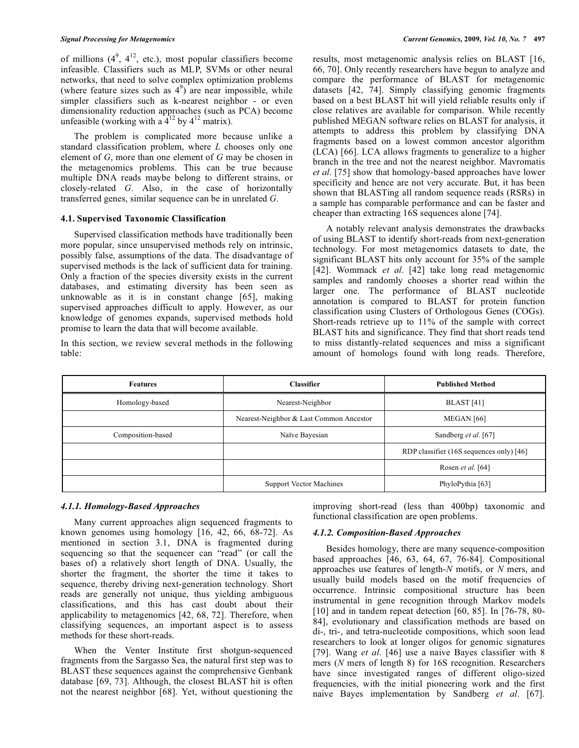of millions  $(4^9, 4^{12},$  etc.), most popular classifiers become infeasible. Classifiers such as MLP, SVMs or other neural networks, that need to solve complex optimization problems (where feature sizes such as  $4^9$ ) are near impossible, while simpler classifiers such as k-nearest neighbor - or even dimensionality reduction approaches (such as PCA) become unfeasible (working with a  $4^{12}$  by  $4^{12}$  matrix).

The problem is complicated more because unlike a standard classification problem, where *L* chooses only one element of *G*, more than one element of *G* may be chosen in the metagenomics problems. This can be true because multiple DNA reads maybe belong to different strains, or closely-related *G*. Also, in the case of horizontally transferred genes, similar sequence can be in unrelated *G*.

## **4.1. Supervised Taxonomic Classification**

Supervised classification methods have traditionally been more popular, since unsupervised methods rely on intrinsic, possibly false, assumptions of the data. The disadvantage of supervised methods is the lack of sufficient data for training. Only a fraction of the species diversity exists in the current databases, and estimating diversity has been seen as unknowable as it is in constant change [65], making supervised approaches difficult to apply. However, as our knowledge of genomes expands, supervised methods hold promise to learn the data that will become available.

In this section, we review several methods in the following table:

results, most metagenomic analysis relies on BLAST [16, 66, 70]. Only recently researchers have begun to analyze and compare the performance of BLAST for metagenomic datasets [42, 74]. Simply classifying genomic fragments based on a best BLAST hit will yield reliable results only if close relatives are available for comparison. While recently published MEGAN software relies on BLAST for analysis, it attempts to address this problem by classifying DNA fragments based on a lowest common ancestor algorithm (LCA) [66]. LCA allows fragments to generalize to a higher branch in the tree and not the nearest neighbor. Mavromatis *et al*. [75] show that homology-based approaches have lower specificity and hence are not very accurate. But, it has been shown that BLASTing all random sequence reads (RSRs) in a sample has comparable performance and can be faster and cheaper than extracting 16S sequences alone [74].

A notably relevant analysis demonstrates the drawbacks of using BLAST to identify short-reads from next-generation technology. For most metagenomics datasets to date, the significant BLAST hits only account for 35% of the sample [42]. Wommack *et al*. [42] take long read metagenomic samples and randomly chooses a shorter read within the larger one. The performance of BLAST nucleotide annotation is compared to BLAST for protein function classification using Clusters of Orthologous Genes (COGs). Short-reads retrieve up to 11% of the sample with correct BLAST hits and significance. They find that short reads tend to miss distantly-related sequences and miss a significant amount of homologs found with long reads. Therefore,

| <b>Features</b>   | <b>Classifier</b>                       | <b>Published Method</b>                  |  |
|-------------------|-----------------------------------------|------------------------------------------|--|
| Homology-based    | Nearest-Neighbor                        | <b>BLAST</b> [41]                        |  |
|                   | Nearest-Neighbor & Last Common Ancestor | MEGAN [66]                               |  |
| Composition-based | Naïve Bayesian                          | Sandberg et al. [67]                     |  |
|                   |                                         | RDP classifier (16S sequences only) [46] |  |
|                   |                                         | Rosen et al. [64]                        |  |
|                   | <b>Support Vector Machines</b>          | PhyloPythia [63]                         |  |

## *4.1.1. Homology-Based Approaches*

Many current approaches align sequenced fragments to known genomes using homology [16, 42, 66, 68-72]. As mentioned in section 3.1, DNA is fragmented during sequencing so that the sequencer can "read" (or call the bases of) a relatively short length of DNA. Usually, the shorter the fragment, the shorter the time it takes to sequence, thereby driving next-generation technology. Short reads are generally not unique, thus yielding ambiguous classifications, and this has cast doubt about their applicability to metagenomics [42, 68, 72]. Therefore, when classifying sequences, an important aspect is to assess methods for these short-reads.

When the Venter Institute first shotgun-sequenced fragments from the Sargasso Sea, the natural first step was to BLAST these sequences against the comprehensive Genbank database [69, 73]. Although, the closest BLAST hit is often not the nearest neighbor [68]. Yet, without questioning the

improving short-read (less than 400bp) taxonomic and functional classification are open problems.

#### *4.1.2. Composition-Based Approaches*

Besides homology, there are many sequence-composition based approaches [46, 63, 64, 67, 76-84]. Compositional approaches use features of length-*N* motifs, or *N* mers, and usually build models based on the motif frequencies of occurrence. Intrinsic compositional structure has been instrumental in gene recognition through Markov models [10] and in tandem repeat detection [60, 85]. In [76-78, 80-84], evolutionary and classification methods are based on di-, tri-, and tetra-nucleotide compositions, which soon lead researchers to look at longer oligos for genomic signatures [79]. Wang *et al*. [46] use a naive Bayes classifier with 8 mers (*N* mers of length 8) for 16S recognition. Researchers have since investigated ranges of different oligo-sized frequencies, with the initial pioneering work and the first naive Bayes implementation by Sandberg *et al*. [67].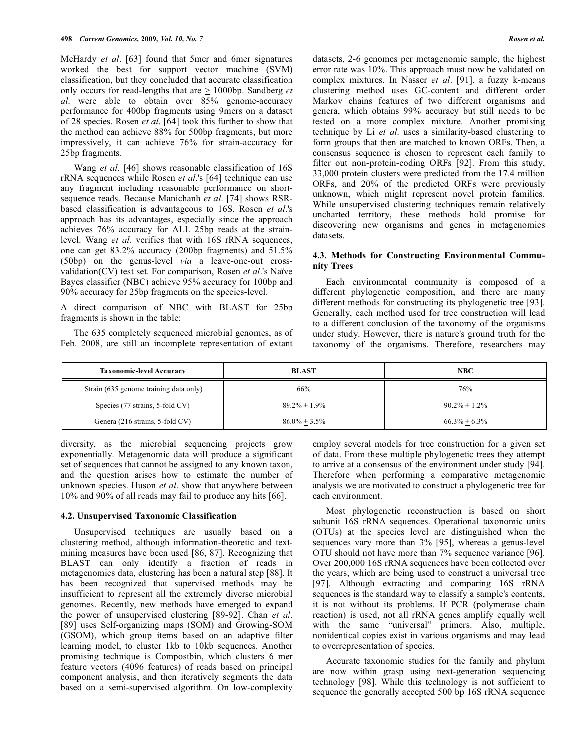McHardy *et al*. [63] found that 5mer and 6mer signatures worked the best for support vector machine (SVM) classification, but they concluded that accurate classification only occurs for read-lengths that are > 1000bp. Sandberg *et al*. were able to obtain over 85% genome-accuracy performance for 400bp fragments using 9mers on a dataset of 28 species. Rosen *et al*. [64] took this further to show that the method can achieve 88% for 500bp fragments, but more impressively, it can achieve 76% for strain-accuracy for 25bp fragments.

Wang *et al*. [46] shows reasonable classification of 16S rRNA sequences while Rosen *et al*.'s [64] technique can use any fragment including reasonable performance on shortsequence reads. Because Manichanh *et al*. [74] shows RSRbased classification is advantageous to 16S, Rosen *et al*.'s approach has its advantages, especially since the approach achieves 76% accuracy for ALL 25bp reads at the strainlevel. Wang *et al*. verifies that with 16S rRNA sequences, one can get 83.2% accuracy (200bp fragments) and 51.5% (50bp) on the genus-level *via* a leave-one-out crossvalidation(CV) test set. For comparison, Rosen *et al*.'s Naïve Bayes classifier (NBC) achieve 95% accuracy for 100bp and 90% accuracy for 25bp fragments on the species-level.

A direct comparison of NBC with BLAST for 25bp fragments is shown in the table:

The 635 completely sequenced microbial genomes, as of Feb. 2008, are still an incomplete representation of extant

datasets, 2-6 genomes per metagenomic sample, the highest error rate was 10%. This approach must now be validated on complex mixtures. In Nasser *et al*. [91], a fuzzy k-means clustering method uses GC-content and different order Markov chains features of two different organisms and genera, which obtains 99% accuracy but still needs to be tested on a more complex mixture. Another promising technique by Li *et al*. uses a similarity-based clustering to form groups that then are matched to known ORFs. Then, a consensus sequence is chosen to represent each family to filter out non-protein-coding ORFs [92]. From this study, 33,000 protein clusters were predicted from the 17.4 million ORFs, and 20% of the predicted ORFs were previously unknown, which might represent novel protein families. While unsupervised clustering techniques remain relatively uncharted territory, these methods hold promise for discovering new organisms and genes in metagenomics datasets.

# **4.3. Methods for Constructing Environmental Community Trees**

Each environmental community is composed of a different phylogenetic composition, and there are many different methods for constructing its phylogenetic tree [93]. Generally, each method used for tree construction will lead to a different conclusion of the taxonomy of the organisms under study. However, there is nature's ground truth for the taxonomy of the organisms. Therefore, researchers may

| <b>Taxonomic-level Accuracy</b>        | <b>BLAST</b>     | <b>NBC</b>       |
|----------------------------------------|------------------|------------------|
| Strain (635 genome training data only) | 66%              | 76%              |
| Species (77 strains, 5-fold CV)        | $89.2\% + 1.9\%$ | $90.2\% + 1.2\%$ |
| Genera (216 strains, 5-fold CV)        | $86.0\% + 3.5\%$ | $66.3\% + 6.3\%$ |

diversity, as the microbial sequencing projects grow exponentially. Metagenomic data will produce a significant set of sequences that cannot be assigned to any known taxon, and the question arises how to estimate the number of unknown species. Huson *et al*. show that anywhere between 10% and 90% of all reads may fail to produce any hits [66].

#### **4.2. Unsupervised Taxonomic Classification**

Unsupervised techniques are usually based on a clustering method, although information-theoretic and textmining measures have been used [86, 87]. Recognizing that BLAST can only identify a fraction of reads in metagenomics data, clustering has been a natural step [88]. It has been recognized that supervised methods may be insufficient to represent all the extremely diverse microbial genomes. Recently, new methods have emerged to expand the power of unsupervised clustering [89-92]. Chan *et al*. [89] uses Self-organizing maps (SOM) and Growing-SOM (GSOM), which group items based on an adaptive filter learning model, to cluster 1kb to 10kb sequences. Another promising technique is Compostbin, which clusters 6 mer feature vectors (4096 features) of reads based on principal component analysis, and then iteratively segments the data based on a semi-supervised algorithm. On low-complexity

employ several models for tree construction for a given set of data. From these multiple phylogenetic trees they attempt to arrive at a consensus of the environment under study [94]. Therefore when performing a comparative metagenomic analysis we are motivated to construct a phylogenetic tree for each environment.

Most phylogenetic reconstruction is based on short subunit 16S rRNA sequences. Operational taxonomic units (OTUs) at the species level are distinguished when the sequences vary more than 3% [95], whereas a genus-level OTU should not have more than 7% sequence variance [96]. Over 200,000 16S rRNA sequences have been collected over the years, which are being used to construct a universal tree [97]. Although extracting and comparing 16S rRNA sequences is the standard way to classify a sample's contents, it is not without its problems. If PCR (polymerase chain reaction) is used, not all rRNA genes amplify equally well with the same "universal" primers. Also, multiple, nonidentical copies exist in various organisms and may lead to overrepresentation of species.

Accurate taxonomic studies for the family and phylum are now within grasp using next-generation sequencing technology [98]. While this technology is not sufficient to sequence the generally accepted 500 bp 16S rRNA sequence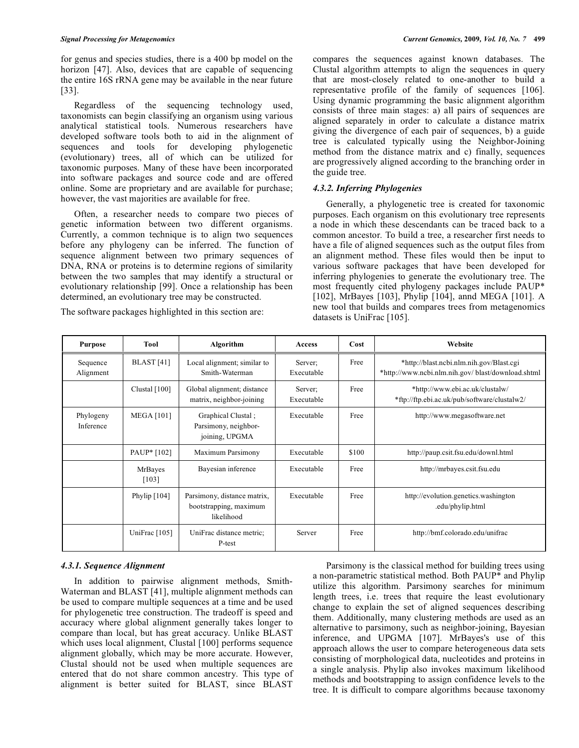for genus and species studies, there is a 400 bp model on the horizon [47]. Also, devices that are capable of sequencing the entire 16S rRNA gene may be available in the near future [33].

Regardless of the sequencing technology used, taxonomists can begin classifying an organism using various analytical statistical tools. Numerous researchers have developed software tools both to aid in the alignment of sequences and tools for developing phylogenetic (evolutionary) trees, all of which can be utilized for taxonomic purposes. Many of these have been incorporated into software packages and source code and are offered online. Some are proprietary and are available for purchase; however, the vast majorities are available for free.

Often, a researcher needs to compare two pieces of genetic information between two different organisms. Currently, a common technique is to align two sequences before any phylogeny can be inferred. The function of sequence alignment between two primary sequences of DNA, RNA or proteins is to determine regions of similarity between the two samples that may identify a structural or evolutionary relationship [99]. Once a relationship has been determined, an evolutionary tree may be constructed.

The software packages highlighted in this section are:

compares the sequences against known databases. The Clustal algorithm attempts to align the sequences in query that are most-closely related to one-another to build a representative profile of the family of sequences [106]. Using dynamic programming the basic alignment algorithm consists of three main stages: a) all pairs of sequences are aligned separately in order to calculate a distance matrix giving the divergence of each pair of sequences, b) a guide tree is calculated typically using the Neighbor-Joining method from the distance matrix and c) finally, sequences are progressively aligned according to the branching order in the guide tree.

# *4.3.2. Inferring Phylogenies*

Generally, a phylogenetic tree is created for taxonomic purposes. Each organism on this evolutionary tree represents a node in which these descendants can be traced back to a common ancestor. To build a tree, a researcher first needs to have a file of aligned sequences such as the output files from an alignment method. These files would then be input to various software packages that have been developed for inferring phylogenies to generate the evolutionary tree. The most frequently cited phylogeny packages include PAUP\* [102], MrBayes [103], Phylip [104], annd MEGA [101]. A new tool that builds and compares trees from metagenomics datasets is UniFrac [105].

| <b>Purpose</b>         | <b>Tool</b>             | Algorithm                                                           | Access                | Cost  | Website                                                                                        |
|------------------------|-------------------------|---------------------------------------------------------------------|-----------------------|-------|------------------------------------------------------------------------------------------------|
| Sequence<br>Alignment  | <b>BLAST</b> [41]       | Local alignment; similar to<br>Smith-Waterman                       | Server:<br>Executable | Free  | *http://blast.ncbi.nlm.nih.gov/Blast.cgi<br>*http://www.ncbi.nlm.nih.gov/ blast/download.shtml |
|                        | Clustal [100]           | Global alignment; distance<br>matrix, neighbor-joining              | Server:<br>Executable | Free  | *http://www.ebi.ac.uk/clustalw/<br>*ftp://ftp.ebi.ac.uk/pub/software/clustalw2/                |
| Phylogeny<br>Inference | <b>MEGA [101]</b>       | Graphical Clustal;<br>Parsimony, neighbor-<br>joining, UPGMA        | Executable            | Free  | http://www.megasoftware.net                                                                    |
|                        | PAUP* [102]             | Maximum Parsimony                                                   | Executable            | \$100 | http://paup.csit.fsu.edu/downl.html                                                            |
|                        | <b>MrBayes</b><br>[103] | Bayesian inference                                                  | Executable            | Free  | http://mrbayes.csit.fsu.edu                                                                    |
|                        | Phylip $[104]$          | Parsimony, distance matrix,<br>bootstrapping, maximum<br>likelihood | Executable            | Free  | http://evolution.genetics.washington<br>.edu/phylip.html                                       |
|                        | UniFrac $[105]$         | UniFrac distance metric;<br>P-test                                  | Server                | Free  | http://bmf.colorado.edu/unifrac                                                                |

# *4.3.1. Sequence Alignment*

In addition to pairwise alignment methods, Smith-Waterman and BLAST [41], multiple alignment methods can be used to compare multiple sequences at a time and be used for phylogenetic tree construction. The tradeoff is speed and accuracy where global alignment generally takes longer to compare than local, but has great accuracy. Unlike BLAST which uses local alignment, Clustal [100] performs sequence alignment globally, which may be more accurate. However, Clustal should not be used when multiple sequences are entered that do not share common ancestry. This type of alignment is better suited for BLAST, since BLAST

Parsimony is the classical method for building trees using a non-parametric statistical method. Both PAUP\* and Phylip utilize this algorithm. Parsimony searches for minimum length trees, i.e. trees that require the least evolutionary change to explain the set of aligned sequences describing them. Additionally, many clustering methods are used as an alternative to parsimony, such as neighbor-joining, Bayesian inference, and UPGMA [107]. MrBayes's use of this approach allows the user to compare heterogeneous data sets consisting of morphological data, nucleotides and proteins in a single analysis. Phylip also invokes maximum likelihood methods and bootstrapping to assign confidence levels to the tree. It is difficult to compare algorithms because taxonomy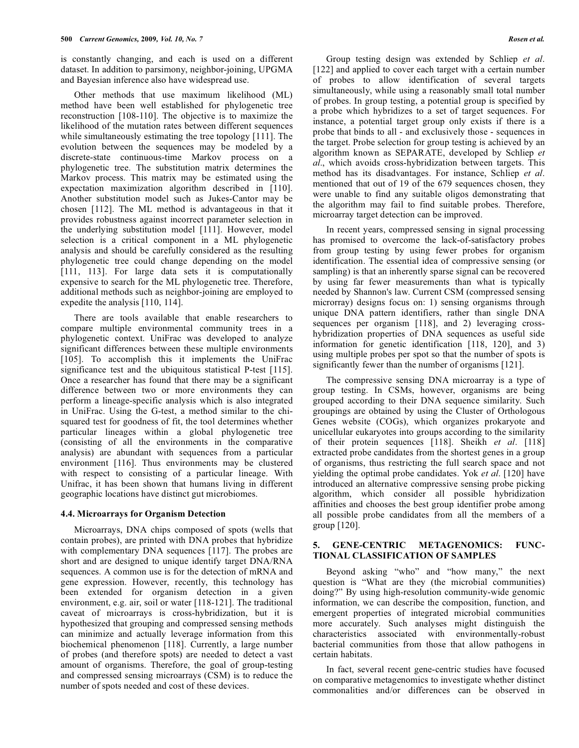is constantly changing, and each is used on a different dataset. In addition to parsimony, neighbor-joining, UPGMA and Bayesian inference also have widespread use.

Other methods that use maximum likelihood (ML) method have been well established for phylogenetic tree reconstruction [108-110]. The objective is to maximize the likelihood of the mutation rates between different sequences while simultaneously estimating the tree topology [111]. The evolution between the sequences may be modeled by a discrete-state continuous-time Markov process on a phylogenetic tree. The substitution matrix determines the Markov process. This matrix may be estimated using the expectation maximization algorithm described in [110]. Another substitution model such as Jukes-Cantor may be chosen [112]. The ML method is advantageous in that it provides robustness against incorrect parameter selection in the underlying substitution model [111]. However, model selection is a critical component in a ML phylogenetic analysis and should be carefully considered as the resulting phylogenetic tree could change depending on the model [111, 113]. For large data sets it is computationally expensive to search for the ML phylogenetic tree. Therefore, additional methods such as neighbor-joining are employed to expedite the analysis [110, 114].

There are tools available that enable researchers to compare multiple environmental community trees in a phylogenetic context. UniFrac was developed to analyze significant differences between these multiple environments [105]. To accomplish this it implements the UniFrac significance test and the ubiquitous statistical P-test [115]. Once a researcher has found that there may be a significant difference between two or more environments they can perform a lineage-specific analysis which is also integrated in UniFrac. Using the G-test, a method similar to the chisquared test for goodness of fit, the tool determines whether particular lineages within a global phylogenetic tree (consisting of all the environments in the comparative analysis) are abundant with sequences from a particular environment [116]. Thus environments may be clustered with respect to consisting of a particular lineage. With Unifrac, it has been shown that humans living in different geographic locations have distinct gut microbiomes.

# **4.4. Microarrays for Organism Detection**

Microarrays, DNA chips composed of spots (wells that contain probes), are printed with DNA probes that hybridize with complementary DNA sequences [117]. The probes are short and are designed to unique identify target DNA/RNA sequences. A common use is for the detection of mRNA and gene expression. However, recently, this technology has been extended for organism detection in a given environment, e.g. air, soil or water [118-121]. The traditional caveat of microarrays is cross-hybridization, but it is hypothesized that grouping and compressed sensing methods can minimize and actually leverage information from this biochemical phenomenon [118]. Currently, a large number of probes (and therefore spots) are needed to detect a vast amount of organisms. Therefore, the goal of group-testing and compressed sensing microarrays (CSM) is to reduce the number of spots needed and cost of these devices.

Group testing design was extended by Schliep *et al*. [122] and applied to cover each target with a certain number of probes to allow identification of several targets simultaneously, while using a reasonably small total number of probes. In group testing, a potential group is specified by a probe which hybridizes to a set of target sequences. For instance, a potential target group only exists if there is a probe that binds to all - and exclusively those - sequences in the target. Probe selection for group testing is achieved by an algorithm known as SEPARATE, developed by Schliep *et al*., which avoids cross-hybridization between targets. This method has its disadvantages. For instance, Schliep *et al*. mentioned that out of 19 of the 679 sequences chosen, they were unable to find any suitable oligos demonstrating that the algorithm may fail to find suitable probes. Therefore, microarray target detection can be improved.

In recent years, compressed sensing in signal processing has promised to overcome the lack-of-satisfactory probes from group testing by using fewer probes for organism identification. The essential idea of compressive sensing (or sampling) is that an inherently sparse signal can be recovered by using far fewer measurements than what is typically needed by Shannon's law. Current CSM (compressed sensing microrray) designs focus on: 1) sensing organisms through unique DNA pattern identifiers, rather than single DNA sequences per organism [118], and 2) leveraging crosshybridization properties of DNA sequences as useful side information for genetic identification [118, 120], and 3) using multiple probes per spot so that the number of spots is significantly fewer than the number of organisms [121].

The compressive sensing DNA microarray is a type of group testing. In CSMs, however, organisms are being grouped according to their DNA sequence similarity. Such groupings are obtained by using the Cluster of Orthologous Genes website (COGs), which organizes prokaryote and unicellular eukaryotes into groups according to the similarity of their protein sequences [118]. Sheikh *et al*. [118] extracted probe candidates from the shortest genes in a group of organisms, thus restricting the full search space and not yielding the optimal probe candidates. Yok *et al*. [120] have introduced an alternative compressive sensing probe picking algorithm, which consider all possible hybridization affinities and chooses the best group identifier probe among all possible probe candidates from all the members of a group [120].

## **5. GENE-CENTRIC METAGENOMICS: FUNC-TIONAL CLASSIFICATION OF SAMPLES**

Beyond asking "who" and "how many," the next question is "What are they (the microbial communities) doing?" By using high-resolution community-wide genomic information, we can describe the composition, function, and emergent properties of integrated microbial communities more accurately. Such analyses might distinguish the characteristics associated with environmentally-robust bacterial communities from those that allow pathogens in certain habitats.

In fact, several recent gene-centric studies have focused on comparative metagenomics to investigate whether distinct commonalities and/or differences can be observed in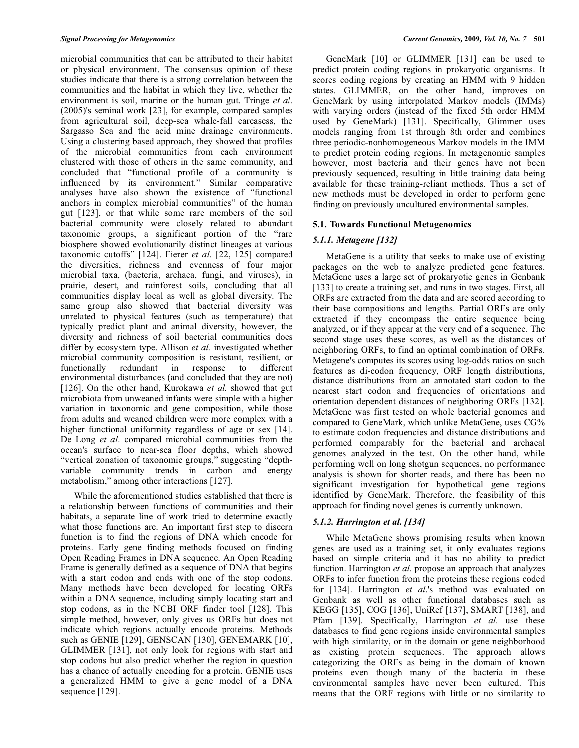microbial communities that can be attributed to their habitat or physical environment. The consensus opinion of these studies indicate that there is a strong correlation between the communities and the habitat in which they live, whether the environment is soil, marine or the human gut. Tringe *et al*. (2005)'s seminal work [23], for example, compared samples from agricultural soil, deep-sea whale-fall carcasess, the Sargasso Sea and the acid mine drainage environments. Using a clustering based approach, they showed that profiles of the microbial communities from each environment clustered with those of others in the same community, and concluded that "functional profile of a community is influenced by its environment." Similar comparative analyses have also shown the existence of "functional anchors in complex microbial communities" of the human gut [123], or that while some rare members of the soil bacterial community were closely related to abundant taxonomic groups, a significant portion of the "rare biosphere showed evolutionarily distinct lineages at various taxonomic cutoffs" [124]. Fierer *et al*. [22, 125] compared the diversities, richness and evenness of four major microbial taxa, (bacteria, archaea, fungi, and viruses), in prairie, desert, and rainforest soils, concluding that all communities display local as well as global diversity. The same group also showed that bacterial diversity was unrelated to physical features (such as temperature) that typically predict plant and animal diversity, however, the diversity and richness of soil bacterial communities does differ by ecosystem type. Allison *et al*. investigated whether microbial community composition is resistant, resilient, or functionally redundant in response to different environmental disturbances (and concluded that they are not) [126]. On the other hand, Kurokawa et al. showed that gut microbiota from unweaned infants were simple with a higher variation in taxonomic and gene composition, while those from adults and weaned children were more complex with a higher functional uniformity regardless of age or sex [14]. De Long *et al*. compared microbial communities from the ocean's surface to near-sea floor depths, which showed "vertical zonation of taxonomic groups," suggesting "depthvariable community trends in carbon and energy metabolism," among other interactions [127].

While the aforementioned studies established that there is a relationship between functions of communities and their habitats, a separate line of work tried to determine exactly what those functions are. An important first step to discern function is to find the regions of DNA which encode for proteins. Early gene finding methods focused on finding Open Reading Frames in DNA sequence. An Open Reading Frame is generally defined as a sequence of DNA that begins with a start codon and ends with one of the stop codons. Many methods have been developed for locating ORFs within a DNA sequence, including simply locating start and stop codons, as in the NCBI ORF finder tool [128]. This simple method, however, only gives us ORFs but does not indicate which regions actually encode proteins. Methods such as GENIE [129], GENSCAN [130], GENEMARK [10], GLIMMER [131], not only look for regions with start and stop codons but also predict whether the region in question has a chance of actually encoding for a protein. GENIE uses a generalized HMM to give a gene model of a DNA sequence [129].

GeneMark [10] or GLIMMER [131] can be used to predict protein coding regions in prokaryotic organisms. It scores coding regions by creating an HMM with 9 hidden states. GLIMMER, on the other hand, improves on GeneMark by using interpolated Markov models (IMMs) with varying orders (instead of the fixed 5th order HMM used by GeneMark) [131]. Specifically, Glimmer uses models ranging from 1st through 8th order and combines three periodic-nonhomogeneous Markov models in the IMM to predict protein coding regions. In metagenomic samples however, most bacteria and their genes have not been previously sequenced, resulting in little training data being available for these training-reliant methods. Thus a set of new methods must be developed in order to perform gene finding on previously uncultured environmental samples.

#### **5.1. Towards Functional Metagenomics**

## *5.1.1. Metagene [132]*

MetaGene is a utility that seeks to make use of existing packages on the web to analyze predicted gene features. MetaGene uses a large set of prokaryotic genes in Genbank [133] to create a training set, and runs in two stages. First, all ORFs are extracted from the data and are scored according to their base compositions and lengths. Partial ORFs are only extracted if they encompass the entire sequence being analyzed, or if they appear at the very end of a sequence. The second stage uses these scores, as well as the distances of neighboring ORFs, to find an optimal combination of ORFs. Metagene's computes its scores using log-odds ratios on such features as di-codon frequency, ORF length distributions, distance distributions from an annotated start codon to the nearest start codon and frequencies of orientations and orientation dependent distances of neighboring ORFs [132]. MetaGene was first tested on whole bacterial genomes and compared to GeneMark, which unlike MetaGene, uses CG% to estimate codon frequencies and distance distributions and performed comparably for the bacterial and archaeal genomes analyzed in the test. On the other hand, while performing well on long shotgun sequences, no performance analysis is shown for shorter reads, and there has been no significant investigation for hypothetical gene regions identified by GeneMark. Therefore, the feasibility of this approach for finding novel genes is currently unknown.

# *5.1.2. Harrington et al. [134]*

While MetaGene shows promising results when known genes are used as a training set, it only evaluates regions based on simple criteria and it has no ability to predict function. Harrington *et al*. propose an approach that analyzes ORFs to infer function from the proteins these regions coded for [134]. Harrington *et al*.'s method was evaluated on Genbank as well as other functional databases such as KEGG [135], COG [136], UniRef [137], SMART [138], and Pfam [139]. Specifically, Harrington *et al*. use these databases to find gene regions inside environmental samples with high similarity, or in the domain or gene neighborhood as existing protein sequences. The approach allows categorizing the ORFs as being in the domain of known proteins even though many of the bacteria in these environmental samples have never been cultured. This means that the ORF regions with little or no similarity to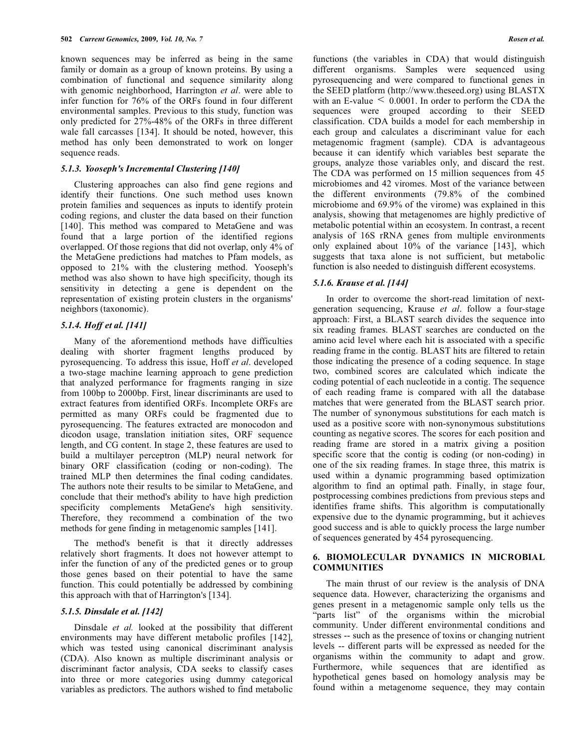known sequences may be inferred as being in the same family or domain as a group of known proteins. By using a combination of functional and sequence similarity along with genomic neighborhood, Harrington *et al*. were able to infer function for 76% of the ORFs found in four different environmental samples. Previous to this study, function was only predicted for 27%-48% of the ORFs in three different wale fall carcasses [134]. It should be noted, however, this method has only been demonstrated to work on longer sequence reads.

#### *5.1.3. Yooseph's Incremental Clustering [140]*

Clustering approaches can also find gene regions and identify their functions. One such method uses known protein families and sequences as inputs to identify protein coding regions, and cluster the data based on their function [140]. This method was compared to MetaGene and was found that a large portion of the identified regions overlapped. Of those regions that did not overlap, only 4% of the MetaGene predictions had matches to Pfam models, as opposed to 21% with the clustering method. Yooseph's method was also shown to have high specificity, though its sensitivity in detecting a gene is dependent on the representation of existing protein clusters in the organisms' neighbors (taxonomic).

# *5.1.4. Hoff et al. [141]*

Many of the aforementiond methods have difficulties dealing with shorter fragment lengths produced by pyrosequencing. To address this issue, Hoff *et al*. developed a two-stage machine learning approach to gene prediction that analyzed performance for fragments ranging in size from 100bp to 2000bp. First, linear discriminants are used to extract features from identified ORFs. Incomplete ORFs are permitted as many ORFs could be fragmented due to pyrosequencing. The features extracted are monocodon and dicodon usage, translation initiation sites, ORF sequence length, and CG content. In stage 2, these features are used to build a multilayer perceptron (MLP) neural network for binary ORF classification (coding or non-coding). The trained MLP then determines the final coding candidates. The authors note their results to be similar to MetaGene, and conclude that their method's ability to have high prediction specificity complements MetaGene's high sensitivity. Therefore, they recommend a combination of the two methods for gene finding in metagenomic samples [141].

The method's benefit is that it directly addresses relatively short fragments. It does not however attempt to infer the function of any of the predicted genes or to group those genes based on their potential to have the same function. This could potentially be addressed by combining this approach with that of Harrington's [134].

## *5.1.5. Dinsdale et al. [142]*

Dinsdale *et al.* looked at the possibility that different environments may have different metabolic profiles [142], which was tested using canonical discriminant analysis (CDA). Also known as multiple discriminant analysis or discriminant factor analysis, CDA seeks to classify cases into three or more categories using dummy categorical variables as predictors. The authors wished to find metabolic

functions (the variables in CDA) that would distinguish different organisms. Samples were sequenced using pyrosequencing and were compared to functional genes in the SEED platform (http://www.theseed.org) using BLASTX with an E-value  $\leq 0.0001$ . In order to perform the CDA the sequences were grouped according to their SEED classification. CDA builds a model for each membership in each group and calculates a discriminant value for each metagenomic fragment (sample). CDA is advantageous because it can identify which variables best separate the groups, analyze those variables only, and discard the rest. The CDA was performed on 15 million sequences from 45 microbiomes and 42 viromes. Most of the variance between the different environments (79.8% of the combined microbiome and 69.9% of the virome) was explained in this analysis, showing that metagenomes are highly predictive of metabolic potential within an ecosystem. In contrast, a recent analysis of 16S rRNA genes from multiple environments only explained about 10% of the variance [143], which suggests that taxa alone is not sufficient, but metabolic function is also needed to distinguish different ecosystems.

#### *5.1.6. Krause et al. [144]*

In order to overcome the short-read limitation of nextgeneration sequencing, Krause *et al*. follow a four-stage approach: First, a BLAST search divides the sequence into six reading frames. BLAST searches are conducted on the amino acid level where each hit is associated with a specific reading frame in the contig. BLAST hits are filtered to retain those indicating the presence of a coding sequence. In stage two, combined scores are calculated which indicate the coding potential of each nucleotide in a contig. The sequence of each reading frame is compared with all the database matches that were generated from the BLAST search prior. The number of synonymous substitutions for each match is used as a positive score with non-synonymous substitutions counting as negative scores. The scores for each position and reading frame are stored in a matrix giving a position specific score that the contig is coding (or non-coding) in one of the six reading frames. In stage three, this matrix is used within a dynamic programming based optimization algorithm to find an optimal path. Finally, in stage four, postprocessing combines predictions from previous steps and identifies frame shifts. This algorithm is computationally expensive due to the dynamic programming, but it achieves good success and is able to quickly process the large number of sequences generated by 454 pyrosequencing.

# **6. BIOMOLECULAR DYNAMICS IN MICROBIAL COMMUNITIES**

The main thrust of our review is the analysis of DNA sequence data. However, characterizing the organisms and genes present in a metagenomic sample only tells us the "parts list" of the organisms within the microbial community. Under different environmental conditions and stresses -- such as the presence of toxins or changing nutrient levels -- different parts will be expressed as needed for the organisms within the community to adapt and grow. Furthermore, while sequences that are identified as hypothetical genes based on homology analysis may be found within a metagenome sequence, they may contain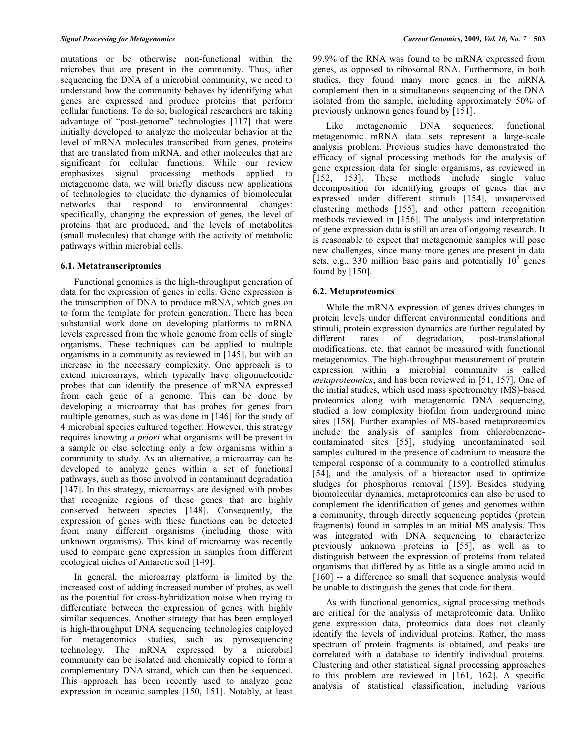mutations or be otherwise non-functional within the microbes that are present in the community. Thus, after sequencing the DNA of a microbial community, we need to understand how the community behaves by identifying what genes are expressed and produce proteins that perform cellular functions. To do so, biological researchers are taking advantage of "post-genome" technologies [117] that were initially developed to analyze the molecular behavior at the level of mRNA molecules transcribed from genes, proteins that are translated from mRNA, and other molecules that are significant for cellular functions. While our review emphasizes signal processing methods applied to metagenome data, we will briefly discuss new applications of technologies to elucidate the dynamics of biomolecular networks that respond to environmental changes: specifically, changing the expression of genes, the level of proteins that are produced, and the levels of metabolites (small molecules) that change with the activity of metabolic pathways within microbial cells.

#### **6.1. Metatranscriptomics**

Functional genomics is the high-throughput generation of data for the expression of genes in cells. Gene expression is the transcription of DNA to produce mRNA, which goes on to form the template for protein generation. There has been substantial work done on developing platforms to mRNA levels expressed from the whole genome from cells of single organisms. These techniques can be applied to multiple organisms in a community as reviewed in [145], but with an increase in the necessary complexity. One approach is to extend microarrays, which typically have oligonucleotide probes that can identify the presence of mRNA expressed from each gene of a genome. This can be done by developing a microarray that has probes for genes from multiple genomes, such as was done in [146] for the study of 4 microbial species cultured together. However, this strategy requires knowing *a priori* what organisms will be present in a sample or else selecting only a few organisms within a community to study. As an alternative, a microarray can be developed to analyze genes within a set of functional pathways, such as those involved in contaminant degradation [147]. In this strategy, microarrays are designed with probes that recognize regions of these genes that are highly conserved between species [148]. Consequently, the expression of genes with these functions can be detected from many different organisms (including those with unknown organisms). This kind of microarray was recently used to compare gene expression in samples from different ecological niches of Antarctic soil [149].

In general, the microarray platform is limited by the increased cost of adding increased number of probes, as well as the potential for cross-hybridization noise when trying to differentiate between the expression of genes with highly similar sequences. Another strategy that has been employed is high-throughput DNA sequencing technologies employed for metagenomics studies, such as pyrosequencing technology. The mRNA expressed by a microbial community can be isolated and chemically copied to form a complementary DNA strand, which can then be sequenced. This approach has been recently used to analyze gene expression in oceanic samples [150, 151]. Notably, at least 99.9% of the RNA was found to be mRNA expressed from genes, as opposed to ribosomal RNA. Furthermore, in both studies, they found many more genes in the mRNA complement then in a simultaneous sequencing of the DNA isolated from the sample, including approximately 50% of previously unknown genes found by [151].

Like metagenomic DNA sequences, functional metagenomic mRNA data sets represent a large-scale analysis problem. Previous studies have demonstrated the efficacy of signal processing methods for the analysis of gene expression data for single organisms, as reviewed in [152, 153]. These methods include single value decomposition for identifying groups of genes that are expressed under different stimuli [154], unsupervised clustering methods [155], and other pattern recognition methods reviewed in [156]. The analysis and interpretation of gene expression data is still an area of ongoing research. It is reasonable to expect that metagenomic samples will pose new challenges, since many more genes are present in data sets, e.g., 330 million base pairs and potentially  $10<sup>5</sup>$  genes found by [150].

#### **6.2. Metaproteomics**

While the mRNA expression of genes drives changes in protein levels under different environmental conditions and stimuli, protein expression dynamics are further regulated by different rates of degradation, post-translational modifications, etc. that cannot be measured with functional metagenomics. The high-throughput measurement of protein expression within a microbial community is called *metaproteomics*, and has been reviewed in [51, 157]. One of the initial studies, which used mass spectrometry (MS)-based proteomics along with metagenomic DNA sequencing, studied a low complexity biofilm from underground mine sites [158]. Further examples of MS-based metaproteomics include the analysis of samples from chlorobenzenecontaminated sites [55], studying uncontaminated soil samples cultured in the presence of cadmium to measure the temporal response of a community to a controlled stimulus [54], and the analysis of a bioreactor used to optimize sludges for phosphorus removal [159]. Besides studying biomolecular dynamics, metaproteomics can also be used to complement the identification of genes and genomes within a community, through directly sequencing peptides (protein fragments) found in samples in an initial MS analysis. This was integrated with DNA sequencing to characterize previously unknown proteins in [55], as well as to distinguish between the expression of proteins from related organisms that differed by as little as a single amino acid in [160] -- a difference so small that sequence analysis would be unable to distinguish the genes that code for them.

As with functional genomics, signal processing methods are critical for the analysis of metaproteomic data. Unlike gene expression data, proteomics data does not cleanly identify the levels of individual proteins. Rather, the mass spectrum of protein fragments is obtained, and peaks are correlated with a database to identify individual proteins. Clustering and other statistical signal processing approaches to this problem are reviewed in [161, 162]. A specific analysis of statistical classification, including various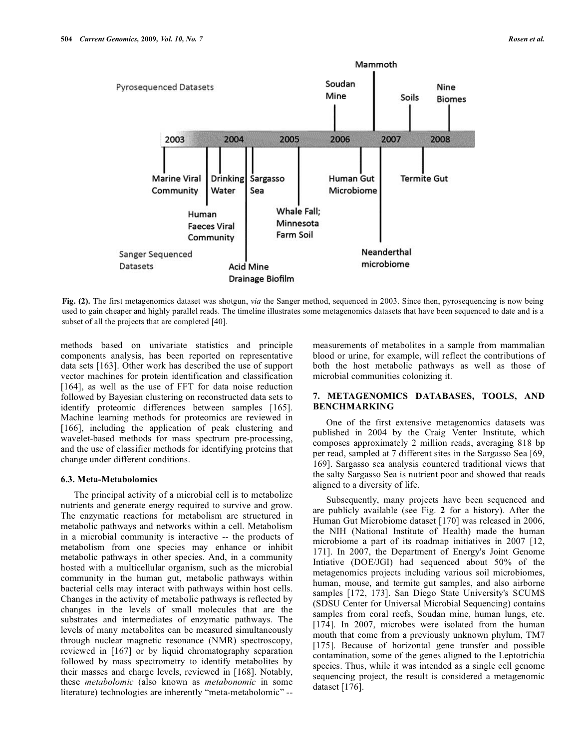

**Fig. (2).** The first metagenomics dataset was shotgun, *via* the Sanger method, sequenced in 2003. Since then, pyrosequencing is now being used to gain cheaper and highly parallel reads. The timeline illustrates some metagenomics datasets that have been sequenced to date and is a subset of all the projects that are completed [40].

methods based on univariate statistics and principle components analysis, has been reported on representative data sets [163]. Other work has described the use of support vector machines for protein identification and classification [164], as well as the use of FFT for data noise reduction followed by Bayesian clustering on reconstructed data sets to identify proteomic differences between samples [165]. Machine learning methods for proteomics are reviewed in [166], including the application of peak clustering and wavelet-based methods for mass spectrum pre-processing, and the use of classifier methods for identifying proteins that change under different conditions.

#### **6.3. Meta-Metabolomics**

The principal activity of a microbial cell is to metabolize nutrients and generate energy required to survive and grow. The enzymatic reactions for metabolism are structured in metabolic pathways and networks within a cell. Metabolism in a microbial community is interactive -- the products of metabolism from one species may enhance or inhibit metabolic pathways in other species. And, in a community hosted with a multicellular organism, such as the microbial community in the human gut, metabolic pathways within bacterial cells may interact with pathways within host cells. Changes in the activity of metabolic pathways is reflected by changes in the levels of small molecules that are the substrates and intermediates of enzymatic pathways. The levels of many metabolites can be measured simultaneously through nuclear magnetic resonance (NMR) spectroscopy, reviewed in [167] or by liquid chromatography separation followed by mass spectrometry to identify metabolites by their masses and charge levels, reviewed in [168]. Notably, these *metabolomic* (also known as *metabonomic* in some literature) technologies are inherently "meta-metabolomic" --

measurements of metabolites in a sample from mammalian blood or urine, for example, will reflect the contributions of both the host metabolic pathways as well as those of microbial communities colonizing it.

## **7. METAGENOMICS DATABASES, TOOLS, AND BENCHMARKING**

One of the first extensive metagenomics datasets was published in 2004 by the Craig Venter Institute, which composes approximately 2 million reads, averaging 818 bp per read, sampled at 7 different sites in the Sargasso Sea [69, 169]. Sargasso sea analysis countered traditional views that the salty Sargasso Sea is nutrient poor and showed that reads aligned to a diversity of life.

Subsequently, many projects have been sequenced and are publicly available (see Fig. **2** for a history). After the Human Gut Microbiome dataset [170] was released in 2006, the NIH (National Institute of Health) made the human microbiome a part of its roadmap initiatives in 2007 [12, 171]. In 2007, the Department of Energy's Joint Genome Intiative (DOE/JGI) had sequenced about 50% of the metagenomics projects including various soil microbiomes, human, mouse, and termite gut samples, and also airborne samples [172, 173]. San Diego State University's SCUMS (SDSU Center for Universal Microbial Sequencing) contains samples from coral reefs, Soudan mine, human lungs, etc. [174]. In 2007, microbes were isolated from the human mouth that come from a previously unknown phylum, TM7 [175]. Because of horizontal gene transfer and possible contamination, some of the genes aligned to the Leptotrichia species. Thus, while it was intended as a single cell genome sequencing project, the result is considered a metagenomic dataset [176].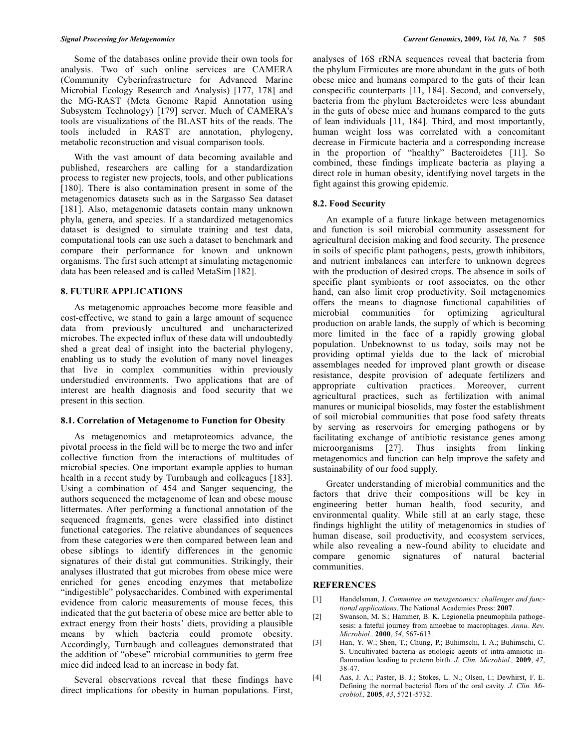Some of the databases online provide their own tools for analysis. Two of such online services are CAMERA (Community Cyberinfrastructure for Advanced Marine Microbial Ecology Research and Analysis) [177, 178] and the MG-RAST (Meta Genome Rapid Annotation using Subsystem Technology) [179] server. Much of CAMERA's tools are visualizations of the BLAST hits of the reads. The tools included in RAST are annotation, phylogeny, metabolic reconstruction and visual comparison tools.

With the vast amount of data becoming available and published, researchers are calling for a standardization process to register new projects, tools, and other publications [180]. There is also contamination present in some of the metagenomics datasets such as in the Sargasso Sea dataset [181]. Also, metagenomic datasets contain many unknown phyla, genera, and species. If a standardized metagenomics dataset is designed to simulate training and test data, computational tools can use such a dataset to benchmark and compare their performance for known and unknown organisms. The first such attempt at simulating metagenomic data has been released and is called MetaSim [182].

# **8. FUTURE APPLICATIONS**

As metagenomic approaches become more feasible and cost-effective, we stand to gain a large amount of sequence data from previously uncultured and uncharacterized microbes. The expected influx of these data will undoubtedly shed a great deal of insight into the bacterial phylogeny, enabling us to study the evolution of many novel lineages that live in complex communities within previously understudied environments. Two applications that are of interest are health diagnosis and food security that we present in this section.

#### **8.1. Correlation of Metagenome to Function for Obesity**

As metagenomics and metaproteomics advance, the pivotal process in the field will be to merge the two and infer collective function from the interactions of multitudes of microbial species. One important example applies to human health in a recent study by Turnbaugh and colleagues [183]. Using a combination of 454 and Sanger sequencing, the authors sequenced the metagenome of lean and obese mouse littermates. After performing a functional annotation of the sequenced fragments, genes were classified into distinct functional categories. The relative abundances of sequences from these categories were then compared between lean and obese siblings to identify differences in the genomic signatures of their distal gut communities. Strikingly, their analyses illustrated that gut microbes from obese mice were enriched for genes encoding enzymes that metabolize "indigestible" polysaccharides. Combined with experimental evidence from caloric measurements of mouse feces, this indicated that the gut bacteria of obese mice are better able to extract energy from their hosts' diets, providing a plausible means by which bacteria could promote obesity. Accordingly, Turnbaugh and colleagues demonstrated that the addition of "obese" microbial communities to germ free mice did indeed lead to an increase in body fat.

Several observations reveal that these findings have direct implications for obesity in human populations. First,

analyses of 16S rRNA sequences reveal that bacteria from the phylum Firmicutes are more abundant in the guts of both obese mice and humans compared to the guts of their lean conspecific counterparts [11, 184]. Second, and conversely, bacteria from the phylum Bacteroidetes were less abundant in the guts of obese mice and humans compared to the guts of lean individuals [11, 184]. Third, and most importantly, human weight loss was correlated with a concomitant decrease in Firmicute bacteria and a corresponding increase in the proportion of "healthy" Bacteroidetes [11]. So combined, these findings implicate bacteria as playing a direct role in human obesity, identifying novel targets in the fight against this growing epidemic.

# **8.2. Food Security**

An example of a future linkage between metagenomics and function is soil microbial community assessment for agricultural decision making and food security. The presence in soils of specific plant pathogens, pests, growth inhibitors, and nutrient imbalances can interfere to unknown degrees with the production of desired crops. The absence in soils of specific plant symbionts or root associates, on the other hand, can also limit crop productivity. Soil metagenomics offers the means to diagnose functional capabilities of microbial communities for optimizing agricultural production on arable lands, the supply of which is becoming more limited in the face of a rapidly growing global population. Unbeknownst to us today, soils may not be providing optimal yields due to the lack of microbial assemblages needed for improved plant growth or disease resistance, despite provision of adequate fertilizers and appropriate cultivation practices. Moreover, current agricultural practices, such as fertilization with animal manures or municipal biosolids, may foster the establishment of soil microbial communities that pose food safety threats by serving as reservoirs for emerging pathogens or by facilitating exchange of antibiotic resistance genes among microorganisms [27]. Thus insights from linking metagenomics and function can help improve the safety and sustainability of our food supply.

Greater understanding of microbial communities and the factors that drive their compositions will be key in engineering better human health, food security, and environmental quality. While still at an early stage, these findings highlight the utility of metagenomics in studies of human disease, soil productivity, and ecosystem services, while also revealing a new-found ability to elucidate and compare genomic signatures of natural bacterial communities.

# **REFERENCES**

- [1] Handelsman, J. *Committee on metagenomics: challenges and functional applications*. The National Academies Press: **2007**.
- [2] Swanson, M. S.; Hammer, B. K. Legionella pneumophila pathogesesis: a fateful journey from amoebae to macrophages. *Annu. Rev. Microbiol.,* **2000**, *54*, 567-613.
- [3] Han, Y. W.; Shen, T.; Chung, P.; Buhimschi, I. A.; Buhimschi, C. S. Uncultivated bacteria as etiologic agents of intra-amniotic inflammation leading to preterm birth. *J. Clin. Microbiol.,* **2009**, *47*, 38-47.
- [4] Aas, J. A.; Paster, B. J.; Stokes, L. N.; Olsen, I.; Dewhirst, F. E. Defining the normal bacterial flora of the oral cavity. *J. Clin. Microbiol.,* **2005**, *43*, 5721-5732.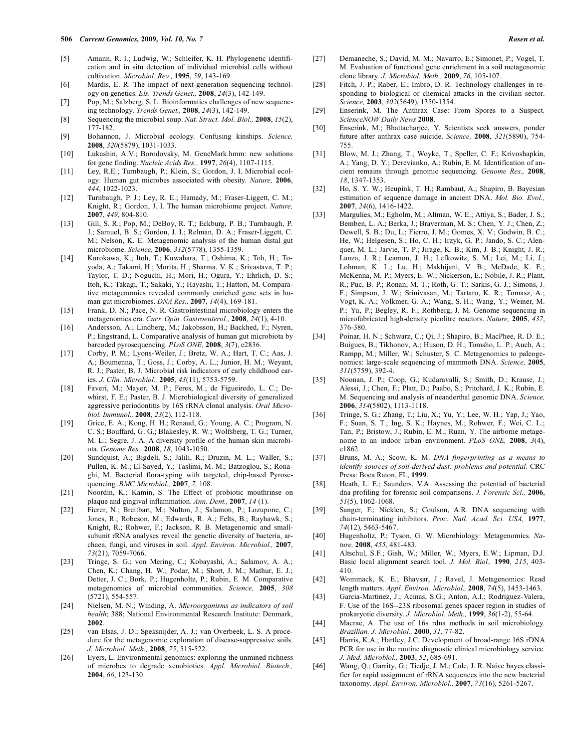- [5] Amann, R. I.; Ludwig, W.; Schleifer, K. H. Phylogenetic identification and in situ detection of individual microbial cells without cultivation. *Microbiol. Rev.,* **1995**, *59*, 143-169.
- [6] Mardis, E. R. The impact of next-generation sequencing technology on genetics. *Els. Trends Genet.,* **2008**, *24*(3), 142-149.
- [7] Pop, M.; Salzberg, S. L. Bioinformatics challenges of new sequencing technology. *Trends Genet.,* **2008**, *24*(3), 142-149.
- [8] Sequencing the microbial soup. *Nat. Struct. Mol. Biol.,* **2008**, *15*(2), 177-182.
- [9] Bohannon, J. Microbial ecology. Confusing kinships. *Science,* **2008**, *320*(5879), 1031-1033.
- [10] Lukashin, A.V.; Borodovsky, M. GeneMark.hmm: new solutions for gene finding. *Nucleic Acids Res.,* **1997**, *26*(4), 1107-1115.
- [11] Ley, R.E.; Turnbaugh, P.; Klein, S.; Gordon, J. I. Microbial ecology: Human gut microbes associated with obesity. *Nature,* **2006**, *444*, 1022-1023.
- [12] Turnbaugh, P. J.; Ley, R. E.; Hamady, M.; Fraser-Liggett, C. M.; Knight, R.; Gordon, J. I. The human microbiome project. *Nature,* **2007**, *449*, 804-810.
- [13] Gill, S. R.; Pop, M.; DeBoy, R. T.; Eckburg, P. B.; Turnbaugh, P. J.; Samuel, B. S.; Gordon, J. I.; Relman, D. A.; Fraser-Liggett, C. M.; Nelson, K. E. Metagenomic analysis of the human distal gut microbiome. *Science,* **2006**, *312*(5778), 1355-1359.
- [14] Kurokawa, K.; Itoh, T.; Kuwahara, T.; Oshima, K.; Toh, H.; Toyoda, A.; Takami, H.; Morita, H.; Sharma, V. K.; Srivastava, T. P.; Taylor, T. D.; Noguchi, H.; Mori, H.; Ogura, Y.; Ehrlich, D. S.; Itoh, K.; Takagi, T.; Sakaki, Y.; Hayashi, T.; Hattori, M. Comparative metagenomics revealed commonly enriched gene sets in human gut microbiomes. *DNA Res.,* **2007**, *14*(4), 169-181.
- [15] Frank, D. N.; Pace, N. R. Gastrointestinal microbiology enters the metagenomics era. *Curr. Opin. Gastroenterol.,* **2008**, *24*(1), 4-10.
- [16] Andersson, A.; Lindberg, M.; Jakobsson, H.; Backhed, F.; Nyren, P.; Engstrand, L. Comparative analysis of human gut microbiota by barcoded pyrosequencing. *PLoS ONE,* **2008**, *3*(7), e2836.
- [17] Corby, P. M.; Lyons-Weiler, J.; Bretz, W. A.; Hart, T. C.; Aas, J. A.; Boumenna, T.; Goss, J.; Corby, A. L.; Junior, H. M.; Weyant, R. J.; Paster, B. J. Microbial risk indicators of early childhood caries. *J. Clin. Microbiol.,* **2005**, *43*(11), 5753-5759.
- [18] Faveri, M.; Mayer, M. P.; Feres, M.; de Figueiredo, L. C.; Dewhirst, F. E.; Paster, B. J. Microbiological diversity of generalized aggressive periodontitis by 16S rRNA clonal analysis. *Oral Microbiol. Immunol.,* **2008**, *23*(2), 112-118.
- [19] Grice, E. A.; Kong, H. H.; Renaud, G.; Young, A. C.; Program, N. C. S.; Bouffard, G. G.; Blakesley, R. W.; Wolfsberg, T. G.; Turner, M. L.; Segre, J. A. A diversity profile of the human skin microbiota. *Genome Res.,* **2008**, *18*, 1043-1050.
- [20] Sundquist, A.; Bigdeli, S.; Jalili, R.; Druzin, M. L.; Waller, S.; Pullen, K. M.; El-Sayed, Y.; Taslimi, M. M.; Batzoglou, S.; Ronaghi, M. Bacterial flora-typing with targeted, chip-based Pyrosequencing. *BMC Microbiol.,* **2007**, *7,* 108.
- [21] Noordin, K.; Kamin, S. The Effect of probiotic mouthrinse on plaque and gingival inflammation. *Ann. Dent.,* **2007**, *14* (1).
- [22] Fierer, N.; Breitbart, M.; Nulton, J.; Salamon, P.; Lozupone, C.; Jones, R.; Robeson, M.; Edwards, R. A.; Felts, B.; Rayhawk, S.; Knight, R.; Rohwer, F.; Jackson, R. B. Metagenomic and smallsubunit rRNA analyses reveal the genetic diversity of bacteria, archaea, fungi, and viruses in soil. *Appl. Environ. Microbiol.,* **2007**, *73*(21), 7059-7066.
- [23] Tringe, S. G.; von Mering, C.; Kobayashi, A.; Salamov, A. A.; Chen, K.; Chang, H. W.; Podar, M.; Short, J. M.; Mathur, E. J.; Detter, J. C.; Bork, P.; Hugenholtz, P.; Rubin, E. M. Comparative metagenomics of microbial communities. *Science,* **2005**, *308* (5721), 554-557.
- [24] Nielsen, M. N.; Winding, A. *Microorganisms as indicators of soil health*; 388; National Environmental Research Institute: Denmark, **2002**.
- [25] van Elsas, J. D.; Speksnijder, A. J.; van Overbeek, L. S. A procedure for the metagenomic exploration of disease-suppressive soils. *J. Microbiol. Meth.,* **2008**, *75*, 515-522.
- [26] Eyers, L. Environmental genomics: exploring the unmined richness of microbes to degrade xenobiotics. *Appl. Microbiol. Biotech.,* **2004**, *66*, 123-130.
- [27] Demaneche, S.; David, M. M.; Navarro, E.; Simonet, P.; Vogel, T. M. Evaluation of functional gene enrichment in a soil metagenomic clone library. *J. Microbiol. Meth.,* **2009**, *76*, 105-107.
- [28] Fitch, J. P.; Raber, E.; Imbro, D. R. Technology challenges in responding to biological or chemical attacks in the civilian sector. *Science,* **2003**, *302*(5649), 1350-1354.
- [29] Enserink, M. The Anthrax Case: From Spores to a Suspect. *ScienceNOW Daily News* **2008**.
- [30] Enserink, M.; Bhattacharjee, Y. Scientists seek answers, ponder future after anthrax case suicide. *Science,* **2008**, *321*(5890), 754- 755.
- [31] Blow, M. J.; Zhang, T.; Woyke, T.; Speller, C. F.; Krivoshapkin, A.; Yang, D. Y.; Derevianko, A.; Rubin, E. M. Identification of ancient remains through genomic sequencing. *Genome Res.,* **2008**, *18*, 1347-1353.
- [32] Ho, S. Y. W.; Heupink, T. H.; Rambaut, A.; Shapiro, B. Bayesian estimation of sequence damage in ancient DNA. *Mol. Bio. Evol.,* **2007**, *24*(6), 1416-1422.
- [33] Margulies, M.; Egholm, M.; Altman, W. E.; Attiya, S.; Bader, J. S.; Bemben, L. A.; Berka, J.; Braverman, M. S.; Chen, Y. J.; Chen, Z.; Dewell, S. B.; Du, L.; Fierro, J. M.; Gomes, X. V.; Godwin, B. C.; He, W.; Helgesen, S.; Ho, C. H.; Irzyk, G. P.; Jando, S. C.; Alenquer, M. L.; Jarvie, T. P.; Jirage, K. B.; Kim, J. B.; Knight, J. R.; Lanza, J. R.; Leamon, J. H.; Lefkowitz, S. M.; Lei, M.; Li, J.; Lohman, K. L.; Lu, H.; Makhijani, V. B.; McDade, K. E.; McKenna, M. P.; Myers, E. W.; Nickerson, E.; Nobile, J. R.; Plant, R.; Puc, B. P.; Ronan, M. T.; Roth, G. T.; Sarkis, G. J.; Simons, J. F.; Simpson, J. W.; Srinivasan, M.; Tartaro, K. R.; Tomasz, A.; Vogt, K. A.; Volkmer, G. A.; Wang, S. H.; Wang, Y.; Weiner, M. P.; Yu, P.; Begley, R. F.; Rothberg, J. M. Genome sequencing in microfabricated high-density picolitre reactors. *Nature,* **2005**, *437*, 376-380.
- [34] Poinar, H. N.; Schwarz, C.; Qi, J.; Shapiro, B.; MacPhee, R. D. E.; Buigues, B.; Tikhonov, A.; Huson, D. H.; Tomsho, L. P.; Auch, A.; Rampp, M.; Miller, W.; Schuster, S. C. Metagenomics to paleogenomics: large-scale sequencing of mammoth DNA. *Science,* **2005**, *311*(5759), 392-4.
- [35] Noonan, J. P.; Coop, G.; Kudaravalli, S.; Smith, D.; Krause, J.; Alessi, J.; Chen, F.; Platt, D.; Paabo, S.; Pritchard, J. K.; Rubin, E. M. Sequencing and analysis of neanderthal genomic DNA. *Science,* **2006**, *314*(5802), 1113-1118.
- [36] Tringe, S. G.; Zhang, T.; Liu, X.; Yu, Y.; Lee, W. H.; Yap, J.; Yao, F.; Suan, S. T.; Ing, S. K.; Haynes, M.; Rohwer, F.; Wei, C. L.; Tan, P.; Bristow, J.; Rubin, E. M.; Ruan, Y. The airborne metagenome in an indoor urban environment. *PLoS ONE,* **2008**, *3*(4), e1862.
- [37] Bruns, M. A.; Scow, K. M. *DNA fingerprinting as a means to identify sources of soil-derived dust: problems and potential*. CRC Press: Boca Raton, FL, **1999**.
- [38] Heath, L. E.; Saunders, V.A. Assessing the potential of bacterial dna profiling for forensic soil comparisons. *J. Forensic Sci.,* **2006**, *51*(5), 1062-1068.
- [39] Sanger, F.; Nicklen, S.; Coulson, A.R. DNA sequencing with chain-terminating inhibitors. *Proc. Natl. Acad. Sci. USA,* **1977**, *74*(12), 5463-5467.
- [40] Hugenholtz, P.; Tyson, G. W. Microbiology: Metagenomics. *Nature,* **2008**, *455*, 481-483.
- [41] Altschul, S.F.; Gish, W.; Miller, W.; Myers, E.W.; Lipman, D.J. Basic local alignment search tool. *J. Mol. Biol.,* **1990**, *215*, 403- 410.
- [42] Wommack, K. E.; Bhavsar, J.; Ravel, J. Metagenomics: Read length matters. *Appl. Environ. Microbiol.,* **2008**, *74*(5), 1453-1463.
- [43] Garcia-Martinez, J.; Acinas, S.G.; Anton, A.I.; Rodriguez-Valera, F. Use of the 16S--23S ribosomal genes spacer region in studies of prokaryotic diversity. *J. Microbiol. Meth.,* **1999**, *36*(1-2), 55-64.
- [44] Macrae, A. The use of 16s rdna methods in soil microbiology. *Brazilian. J. Microbiol.,* **2000**, *31*, 77-82.
- [45] Harris, K.A.; Hartley, J.C. Development of broad-range 16S rDNA PCR for use in the routine diagnostic clinical microbiology service. *J. Med. Microbiol.,* **2003**, *52*, 685-691.
- [46] Wang, Q.; Garrity, G.; Tiedje, J. M.; Cole, J. R. Naive bayes classifier for rapid assignment of rRNA sequences into the new bacterial taxonomy. *Appl. Environ. Microbiol.,* **2007**, *73*(16), 5261-5267.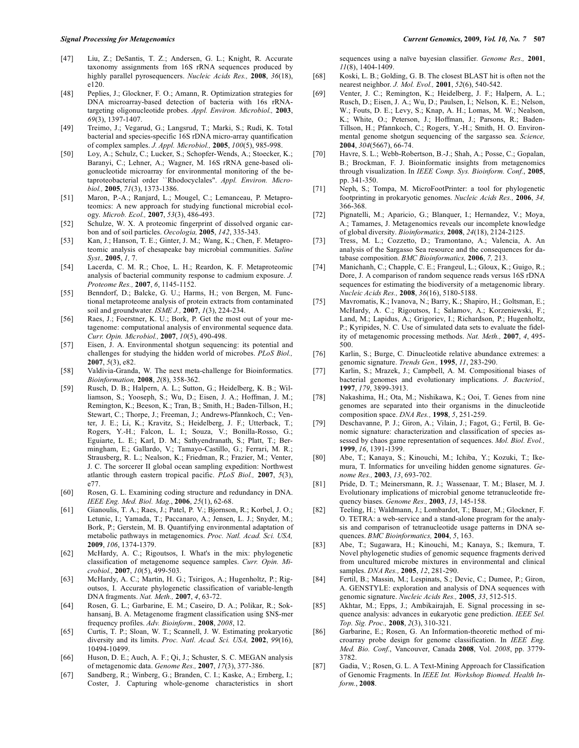- [47] Liu, Z.; DeSantis, T. Z.; Andersen, G. L.; Knight, R. Accurate taxonomy assignments from 16S rRNA sequences produced by highly parallel pyrosequencers. *Nucleic Acids Res.,* **2008**, *36*(18), e120.
- [48] Peplies, J.; Glockner, F. O.; Amann, R. Optimization strategies for DNA microarray-based detection of bacteria with 16s rRNAtargeting oligonucleotide probes. *Appl. Environ. Microbiol.,* **2003**, *69*(3), 1397-1407.
- [49] Treimo, J.; Vegarud, G.; Langsrud, T.; Marki, S.; Rudi, K. Total bacterial and species-specific 16S rDNA micro-array quantification of complex samples. *J. Appl. Microbiol.,* **2005**, *100*(5), 985-998.
- [50] Loy, A.; Schulz, C.; Lucker, S.; Schopfer-Wends, A.; Stoecker, K.; Baranyi, C.; Lehner, A.; Wagner, M. 16S rRNA gene-based oligonucleotide microarray for environmental monitoring of the betaproteobacterial order ``Rhodocyclales". *Appl. Environ. Microbiol.,* **2005**, *71*(3), 1373-1386.
- [51] Maron, P.-A.; Ranjard, L.; Mougel, C.; Lemanceau, P. Metaproteomics: A new approach for studying functional microbial ecology. *Microb. Ecol.,* **2007**, *53*(3), 486-493.
- [52] Schulze, W. X. A proteomic fingerprint of dissolved organic carbon and of soil particles. *Oecologia,* **2005**, *142*, 335-343.
- [53] Kan, J.; Hanson, T. E.; Ginter, J. M.; Wang, K.; Chen, F. Metaproteomic analysis of chesapeake bay microbial communities. *Saline Syst.,* **2005**, *1,* 7.
- [54] Lacerda, C. M. R.; Choe, L. H.; Reardon, K. F. Metaproteomic analysis of bacterial community response to cadmium exposure. *J. Proteome Res.,* **2007**, *6*, 1145-1152.
- [55] Benndorf, D.; Balcke, G. U.; Harms, H.; von Bergen, M. Functional metaproteome analysis of protein extracts from contaminated soil and groundwater. *ISME J.,* **2007**, *1*(3), 224-234.
- [56] Raes, J.; Foerstner, K. U.; Bork, P. Get the most out of your metagenome: computational analysis of environmental sequence data. *Curr. Opin. Microbiol.,* **2007**, *10*(5), 490-498.
- [57] Eisen, J. A. Environmental shotgun sequencing: its potential and challenges for studying the hidden world of microbes. *PLoS Biol.,* **2007**, *5*(3), e82.
- [58] Valdivia-Granda, W. The next meta-challenge for Bioinformatics. *Bioinformation,* **2008**, *2*(8), 358-362.
- [59] Rusch, D. B.; Halpern, A. L.; Sutton, G.; Heidelberg, K. B.; Williamson, S.; Yooseph, S.; Wu, D.; Eisen, J. A.; Hoffman, J. M.; Remington, K.; Beeson, K.; Tran, B.; Smith, H.; Baden-Tillson, H.; Stewart, C.; Thorpe, J.; Freeman, J.; Andrews-Pfannkoch, C.; Venter, J. E.; Li, K.; Kravitz, S.; Heidelberg, J. F.; Utterback, T.; Rogers, Y.-H.; Falcon, L. I.; Souza, V.; Bonilla-Rosso, G.; Eguiarte, L. E.; Karl, D. M.; Sathyendranath, S.; Platt, T.; Bermingham, E.; Gallardo, V.; Tamayo-Castillo, G.; Ferrari, M. R.; Strausberg, R. L.; Nealson, K.; Friedman, R.; Frazier, M.; Venter, J. C. The sorcerer II global ocean sampling expedition: Northwest atlantic through eastern tropical pacific. *PLoS Biol.,* **2007**, *5*(3), e77.
- [60] Rosen, G. L. Examining coding structure and redundancy in DNA. *IEEE Eng. Med. Biol. Mag.*, **2006**, *25*(1), 62-68.
- [61] Gianoulis, T. A.; Raes, J.; Patel, P. V.; Bjornson, R.; Korbel, J. O.; Letunic, I.; Yamada, T.; Paccanaro, A.; Jensen, L. J.; Snyder, M.; Bork, P.; Gerstein, M. B. Quantifying environmental adaptation of metabolic pathways in metagenomics. *Proc. Natl. Acad. Sci. USA,* **2009**, *106*, 1374-1379.
- [62] McHardy, A. C.; Rigoutsos, I. What's in the mix: phylogenetic classification of metagenome sequence samples. *Curr. Opin. Microbiol.,* **2007**, *10*(5), 499-503.
- [63] McHardy, A. C.; Martin, H. G.; Tsirigos, A.; Hugenholtz, P.; Rigoutsos, I. Accurate phylogenetic classification of variable-length DNA fragments. *Nat. Meth.,* **2007**, *4*, 63-72.
- [64] Rosen, G. L.; Garbarine, E. M.; Caseiro, D. A.; Polikar, R.; Sokhansanj, B. A. Metagenome fragment classification using \$N\$-mer frequency profiles. *Adv. Bioinform.,* **2008**, *2008*, 12.
- [65] Curtis, T. P.; Sloan, W. T.; Scannell, J. W. Estimating prokaryotic diversity and its limits. *Proc. Natl. Acad. Sci. USA,* **2002**, *99*(16), 10494-10499.
- [66] Huson, D. E.; Auch, A. F.; Qi, J.; Schuster, S. C. MEGAN analysis of metagenomic data. *Genome Res.,* **2007**, *17*(3), 377-386.
- [67] Sandberg, R.; Winberg, G.; Branden, C. I.; Kaske, A.; Ernberg, I.; Coster, J. Capturing whole-genome characteristics in short

sequences using a naïve bayesian classifier. *Genome Res.,* **2001**, *11*(8), 1404-1409.

- [68] Koski, L. B.; Golding, G. B. The closest BLAST hit is often not the nearest neighbor. *J. Mol. Evol.,* **2001**, *52*(6), 540-542.
- [69] Venter, J. C.; Remington, K.; Heidelberg, J. F.; Halpern, A. L.; Rusch, D.; Eisen, J. A.; Wu, D.; Paulsen, I.; Nelson, K. E.; Nelson, W.; Fouts, D. E.; Levy, S.; Knap, A. H.; Lomas, M. W.; Nealson, K.; White, O.; Peterson, J.; Hoffman, J.; Parsons, R.; Baden-Tillson, H.; Pfannkoch, C.; Rogers, Y.-H.; Smith, H. O. Environmental genome shotgun sequencing of the sargasso sea. *Science,* **2004**, *304*(5667), 66-74.
- [70] Havre, S. L.; Webb-Robertson, B.-J.; Shah, A.; Posse, C.; Gopalan, B.; Brockman, F. J. Bioinformatic insights from metagenomics through visualization. In *IEEE Comp. Sys. Bioinform. Conf.*, **2005**, pp. 341-350.
- [71] Neph, S.; Tompa, M. MicroFootPrinter: a tool for phylogenetic footprinting in prokaryotic genomes. *Nucleic Acids Res.,* **2006**, *34,* 366-368.
- [72] Pignatelli, M.; Aparicio, G.; Blanquer, I.; Hernandez, V.; Moya, A.; Tamames, J. Metagenomics reveals our incomplete knowledge of global diversity. *Bioinformatics,* **2008**, *24*(18), 2124-2125.
- [73] Tress, M. L.; Cozzetto, D.; Tramontano, A.; Valencia, A. An analysis of the Sargasso Sea resource and the consequences for database composition. *BMC Bioinformatics,* **2006**, *7,* 213.
- [74] Manichanh, C.; Chapple, C. E.; Frangeul, L.; Gloux, K.; Guigo, R.; Dore, J. A comparison of random sequence reads versus 16S rDNA sequences for estimating the biodiversity of a metagenomic library. *Nucleic Acids Res.,* **2008**, *36*(16), 5180-5188.
- [75] Mavromatis, K.; Ivanova, N.; Barry, K.; Shapiro, H.; Goltsman, E.; McHardy, A. C.; Rigoutsos, I.; Salamov, A.; Korzeniewski, F.; Land, M.; Lapidus, A.; Grigoriev, I.; Richardson, P.; Hugenholtz, P.; Kyripides, N. C. Use of simulated data sets to evaluate the fidelity of metagenomic processing methods. *Nat. Meth.,* **2007**, *4*, 495- 500.
- [76] Karlin, S.; Burge, C. Dinucleotide relative abundance extremes: a genomic signature. *Trends Gen.,* **1995**, *11*, 283-290.
- [77] Karlin, S.; Mrazek, J.; Campbell, A. M. Compositional biases of bacterial genomes and evolutionary implications. *J. Bacteriol.,* **1997**, *179*, 3899-3913.
- [78] Nakashima, H.; Ota, M.; Nishikawa, K.; Ooi, T. Genes from nine genomes are separated into their organisms in the dinucleotide composition space. *DNA Res.,* **1998**, *5*, 251-259.
- [79] Deschavanne, P. J.; Giron, A.; Vilain, J.; Fagot, G.; Fertil, B. Genomic signature: characterization and classification of species assessed by chaos game representation of sequences. *Mol. Biol. Evol.,* **1999**, *16*, 1391-1399.
- [80] Abe, T.; Kanaya, S.; Kinouchi, M.; Ichiba, Y.; Kozuki, T.; Ikemura, T. Informatics for unveiling hidden genome signatures. *Genome Res.,* **2003**, *13*, 693-702.
- [81] Pride, D. T.; Meinersmann, R. J.; Wassenaar, T. M.; Blaser, M. J. Evolutionary implications of microbial genome tetranucleotide frequency biases. *Genome Res.,* **2003**, *13*, 145-158.
- [82] Teeling, H.; Waldmann, J.; Lombardot, T.; Bauer, M.; Glockner, F. O. TETRA: a web-service and a stand-alone program for the analysis and comparison of tetranucleotide usage patterns in DNA sequences. *BMC Bioinformatics,* **2004**, *5*, 163.
- [83] Abe, T.; Sugawara, H.; Kinouchi, M.; Kanaya, S.; Ikemura, T. Novel phylogenetic studies of genomic sequence fragments derived from uncultured microbe mixtures in environmental and clinical samples. *DNA Res.,* **2005**, *12*, 281-290.
- [84] Fertil, B.; Massin, M.; Lespinats, S.; Devic, C.; Dumee, P.; Giron, A. GENSTYLE: exploration and analysis of DNA sequences with genomic signature. *Nucleic Acids Res.,* **2005**, *33*, 512-515.
- [85] Akhtar, M.; Epps, J.; Ambikairajah, E. Signal processing in sequence analysis: advances in eukaryotic gene prediction. *IEEE Sel. Top. Sig. Proc.,* **2008**, *2*(3), 310-321.
- [86] Garbarine, E.; Rosen, G. An Information-theoretic method of microarray probe design for genome classification. In *IEEE Eng. Med. Bio. Conf.*, Vancouver, Canada **2008**, Vol. *2008*, pp. 3779- 3782.
- [87] Gadia, V.; Rosen, G. L. A Text-Mining Approach for Classification of Genomic Fragments. In *IEEE Int. Workshop Biomed. Health Inform.*, **2008**.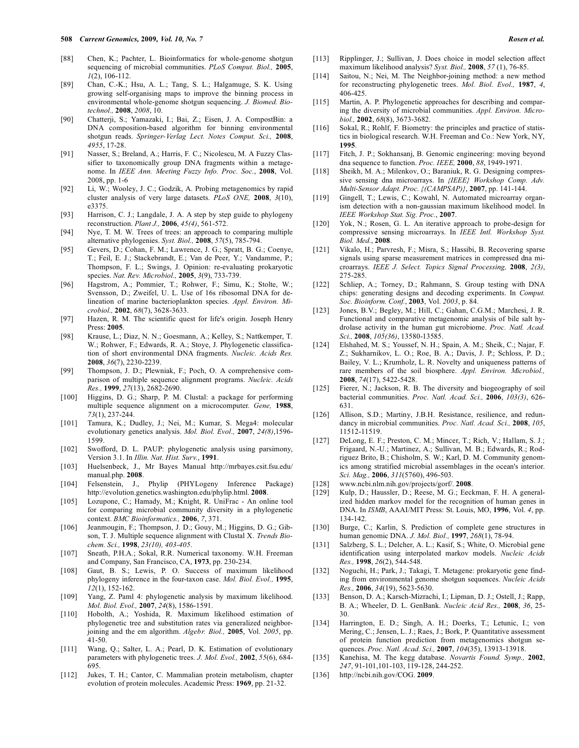- [88] Chen, K.; Pachter, L. Bioinformatics for whole-genome shotgun sequencing of microbial communities. *PLoS Comput. Biol.,* **2005**, *1*(2), 106-112.
- [89] Chan, C.-K.; Hsu, A. L.; Tang, S. L.; Halgamuge, S. K. Using growing self-organising maps to improve the binning process in environmental whole-genome shotgun sequencing. *J. Biomed. Biotechnol.,* **2008**, *2008*, 10.
- [90] Chatterji, S.; Yamazaki, I.; Bai, Z.; Eisen, J. A. CompostBin: a DNA composition-based algorithm for binning environmental shotgun reads. *Springer-Verlag Lect. Notes Comput. Sci.,* **2008**, *4955*, 17-28.
- [91] Nasser, S.; Breland, A.; Harris, F. C.; Nicolescu, M. A Fuzzy Classifier to taxonomically group DNA fragments within a metagenome. In *IEEE Ann. Meeting Fuzzy Info. Proc. Soc.*, **2008**, Vol. 2008, pp. 1-6
- [92] Li, W.; Wooley, J. C.; Godzik, A. Probing metagenomics by rapid cluster analysis of very large datasets. *PLoS ONE,* **2008**, *3*(10), e3375.
- [93] Harrison, C. J.; Langdale, J. A. A step by step guide to phylogeny reconstruction. *Plant J.,* **2006**, *45(4)*, 561-572.
- [94] Nye, T. M. W. Trees of trees: an approach to comparing multiple alternative phylogenies. *Syst. Biol.,* **2008**, *57*(5), 785-794.
- [95] Gevers, D.; Cohan, F. M.; Lawrence, J. G.; Spratt, B. G.; Coenye, T.; Feil, E. J.; Stackebrandt, E.; Van de Peer, Y.; Vandamme, P.; Thompson, F. L.; Swings, J. Opinion: re-evaluating prokaryotic species. *Nat. Rev. Microbiol.,* **2005**, *3*(9), 733-739.
- [96] Hagstrom, A.; Pommier, T.; Rohwer, F.; Simu, K.; Stolte, W.; Svensson, D.; Zweifel, U. L. Use of 16s ribosomal DNA for delineation of marine bacterioplankton species. *Appl. Environ. Microbiol.,* **2002**, *68*(7), 3628-3633.
- [97] Hazen, R. M. The scientific quest for life's origin. Joseph Henry Press: **2005**.
- [98] Krause, L.; Diaz, N. N.; Goesmann, A.; Kelley, S.; Nattkemper, T. W.; Rohwer, F.; Edwards, R. A.; Stoye, J. Phylogenetic classification of short environmental DNA fragments. *Nucleic. Acids Res.* **2008**, *36*(7), 2230-2239.
- [99] Thompson, J. D.; Plewniak, F.; Poch, O. A comprehensive comparison of multiple sequence alignment programs. *Nucleic. Acids Res.,* **1999**, *27*(13), 2682-2690.
- [100] Higgins, D. G.; Sharp, P. M. Clustal: a package for performing multiple sequence alignment on a microcomputer. *Gene,* **1988**, *73*(1), 237-244.
- [101] Tamura, K.; Dudley, J.; Nei, M.; Kumar, S. Mega4: molecular evolutionary genetics analysis. *Mol. Biol. Evol.,* **2007**, *24(8)*,1596- 1599.
- [102] Swofford, D. L. PAUP: phylogenetic analysis using parsimony, Version 3.1. In *Illin. Nat. Hist. Surv.*, **1991**.
- [103] Huelsenbeck, J., Mr Bayes Manual http://mrbayes.csit.fsu.edu/ manual.php. **2008**.
- [104] Felsenstein, J., Phylip (PHYLogeny Inference Package) http://evolution.genetics.washington.edu/phylip.html. **2008**.
- [105] Lozupone, C.; Hamady, M.; Knight, R. UniFrac An online tool for comparing microbial community diversity in a phylogenetic context. *BMC Bioinformatics.,* **2006**, *7*, 371.
- [106] Jeanmougin, F.; Thompson, J. D.; Gouy, M.; Higgins, D. G.; Gibson, T. J. Multiple sequence alignment with Clustal X. *Trends Biochem. Sci.,* **1998**, *23(10), 403-405*.
- [107] Sneath, P.H.A.; Sokal, R.R. Numerical taxonomy. W.H. Freeman and Company, San Francisco, CA, **1973**, pp. 230-234.
- [108] Gaut, B. S.; Lewis, P. O. Success of maximum likelihood phylogeny inference in the four-taxon case. *Mol. Biol. Evol.,* **1995**, *12*(1), 152-162.
- [109] Yang, Z. Paml 4: phylogenetic analysis by maximum likelihood. *Mol. Biol. Evol.,* **2007**, *24*(8), 1586-1591.
- [110] Hobolth, A.; Yoshida, R. Maximum likelihood estimation of phylogenetic tree and substitution rates via generalized neighborjoining and the em algorithm. *Algebr. Biol.,* **2005**, Vol. *2005*, pp. 41-50.
- [111] Wang, Q.; Salter, L. A.; Pearl, D. K. Estimation of evolutionary parameters with phylogenetic trees. *J. Mol. Evol.,* **2002**, *55*(6), 684- 695.
- [112] Jukes, T. H.; Cantor, C. Mammalian protein metabolism, chapter evolution of protein molecules. Academic Press: **1969**, pp. 21-32.
- [113] Ripplinger, J.; Sullivan, J. Does choice in model selection affect maximum likelihood analysis? *Syst. Biol.,* **2008**, *57* (1), 76-85.
- [114] Saitou, N.; Nei, M. The Neighbor-joining method: a new method for reconstructing phylogenetic trees. *Mol. Biol. Evol.,* **1987**, *4*, 406-425.
- [115] Martin, A. P. Phylogenetic approaches for describing and comparing the diversity of microbial communities. *Appl. Environ. Microbiol.,* **2002**, *68*(8), 3673-3682.
- [116] Sokal, R.; Rohlf, F. Biometry: the principles and practice of statistics in biological research. W.H. Freeman and Co.: New York, NY, **1995**.
- [117] Fitch, J. P.; Sokhansanj, B. Genomic engineering: moving beyond dna sequence to function. *Proc. IEEE,* **2000**, *88*, 1949-1971.
- [118] Sheikh, M. A.; Milenkov, O.; Baraniuk, R. G. Designing compressive sensing dna microarrays. In *{IEEE} Workshop Comp. Adv. Multi-Sensor Adapt. Proc. {(CAMPSAP)}*, **2007**, pp. 141-144.
- [119] Gingell, T.; Lewis, C.; Kowahl, N. Automated microarray organism detection with a non-gaussian maximum likelihood model. In *IEEE Workshop Stat. Sig. Proc.*, **2007**.
- [120] Yok, N.; Rosen, G. L. An iterative approach to probe-design for compressive sensing microarrays. In *IEEE Intl. Workshop Syst. Biol. Med.*, **2008**.
- [121] Vikalo, H.; Parvresh, F.; Misra, S.; Hassibi, B. Recovering sparse signals using sparse measurement matrices in compressed dna microarrays. *IEEE J. Select. Topics Signal Processing,* **2008**, *2(3)*, 275-285.
- [122] Schliep, A.; Torney, D.; Rahmann, S. Group testing with DNA chips: generating designs and decoding experiments. In *Comput. Soc. Bioinform. Conf.*, **2003**, Vol. *2003*, p. 84.
- [123] Jones, B.V.; Begley, M.; Hill, C.; Gahan, C.G.M.; Marchesi, J. R. Functional and comparative metagenomic analysis of bile salt hydrolase activity in the human gut microbiome. *Proc. Natl. Acad. Sci.,* **2008**, *105(36)*, 13580-13585.
- [124] Elshahed, M. S.; Youssef, N. H.; Spain, A. M.; Sheik, C.; Najar, F. Z.; Sukharnikov, L. O.; Roe, B. A.; Davis, J. P.; Schloss, P. D.; Bailey, V. L.; Krumholz, L. R. Novelty and uniqueness patterns of rare members of the soil biosphere. *Appl. Environ. Microbiol.,* **2008**, *74*(17), 5422-5428.
- [125] Fierer, N.; Jackson, R. B. The diversity and biogeography of soil bacterial communities. *Proc. Natl. Acad. Sci.,* **2006**, *103(3)*, 626- 631.
- [126] Allison, S.D.; Martiny, J.B.H. Resistance, resilience, and redundancy in microbial communities. *Proc. Natl. Acad. Sci.,* **2008**, *105*, 11512-11519.
- [127] DeLong, E. F.; Preston, C. M.; Mincer, T.; Rich, V.; Hallam, S. J.; Frigaard, N.-U.; Martinez, A.; Sullivan, M. B.; Edwards, R.; Rodriguez Brito, B.; Chisholm, S. W.; Karl, D. M. Community genomics among stratified microbial assemblages in the ocean's interior. *Sci. Mag.,* **2006**, *311*(5760), 496-503.
- [128] www.ncbi.nlm.nih.gov/projects/gorf/. **2008**.
- [129] Kulp, D.; Haussler, D.; Reese, M. G.; Eeckman, F. H. A generalized hidden markov model for the recognition of human genes in DNA. In *ISMB*, AAAI/MIT Press: St. Louis, MO, **1996**, Vol. *4*, pp. 134-142.
- [130] Burge, C.; Karlin, S. Prediction of complete gene structures in human genomic DNA. *J. Mol. Biol.,* **1997**, *268*(1), 78-94.
- [131] Salzberg, S. L.; Delcher, A. L.; Kasif, S.; White, O. Microbial gene identification using interpolated markov models. *Nucleic Acids Res.,* **1998**, *26*(2), 544-548.
- [132] Noguchi, H.; Park, J.; Takagi, T. Metagene: prokaryotic gene finding from environmental genome shotgun sequences. *Nucleic Acids Res.,* **2006**, *34*(19), 5623-5630.
- [133] Benson, D. A.; Karsch-Mizrachi, I.; Lipman, D. J.; Ostell, J.; Rapp, B. A.; Wheeler, D. L. GenBank. *Nucleic Acid Res.,* **2008**, *36*, 25- 30.
- [134] Harrington, E. D.; Singh, A. H.; Doerks, T.; Letunic, I.; von Mering, C.; Jensen, L. J.; Raes, J.; Bork, P. Quantitative assessment of protein function prediction from metagenomics shotgun sequences. *Proc. Natl. Acad. Sci.,* **2007**, *104*(35), 13913-13918.
- [135] Kanehisa, M. The kegg database. *Novartis Found. Symp.,* **2002**, *247*, 91-101,101-103, 119-128, 244-252.
- [136] http://ncbi.nih.gov/COG. **2009**.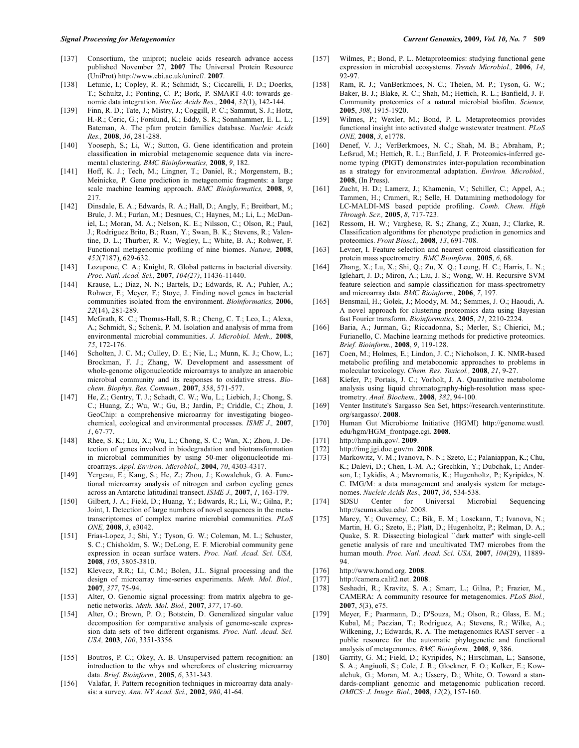- [137] Consortium, the uniprot; nucleic acids research advance access published November 27, **2007** The Universal Protein Resource (UniProt) http://www.ebi.ac.uk/uniref/. **2007**.
- [138] Letunic, I.; Copley, R. R.; Schmidt, S.; Ciccarelli, F. D.; Doerks, T.; Schultz, J.; Ponting, C. P.; Bork, P. SMART 4.0: towards genomic data integration. *Nucliec Acids Res.,* **2004**, *32*(1), 142-144.
- [139] Finn, R. D.; Tate, J.; Mistry, J.; Coggill, P. C.; Sammut, S. J.; Hotz, H.-R.; Ceric, G.; Forslund, K.; Eddy, S. R.; Sonnhammer, E. L. L.; Bateman, A. The pfam protein families database. *Nucleic Acids Res.,* **2008**, *36*, 281-288.
- [140] Yooseph, S.; Li, W.; Sutton, G. Gene identification and protein classification in microbial metagenomic sequence data via incremental clustering. *BMC Bioinformatics,* **2008**, *9*, 182.
- [141] Hoff, K. J.; Tech, M.; Lingner, T.; Daniel, R.; Morgenstern, B.; Meinicke, P. Gene prediction in metagenomic fragments: a large scale machine learning approach. *BMC Bioinformatics,* **2008**, *9*, 217.
- [142] Dinsdale, E. A.; Edwards, R. A.; Hall, D.; Angly, F.; Breitbart, M.; Brulc, J. M.; Furlan, M.; Desnues, C.; Haynes, M.; Li, L.; McDaniel, L.; Moran, M. A.; Nelson, K. E.; Nilsson, C.; Olson, R.; Paul, J.; Rodriguez Brito, B.; Ruan, Y.; Swan, B. K.; Stevens, R.; Valentine, D. L.; Thurber, R. V.; Wegley, L.; White, B. A.; Rohwer, F. Functional metagenomic profiling of nine biomes. *Nature,* **2008**, *452*(7187), 629-632.
- [143] Lozupone, C. A.; Knight, R. Global patterns in bacterial diversity. *Proc. Natl. Acad. Sci.,* **2007**, *104(27)*, 11436-11440.
- [144] Krause, L.; Diaz, N. N.; Bartels, D.; Edwards, R. A.; Puhler, A.; Rohwer, F.; Meyer, F.; Stoye, J. Finding novel genes in bacterial communities isolated from the environment. *Bioinformatics,* **2006**, *22*(14), 281-289.
- [145] McGrath, K. C.; Thomas-Hall, S. R.; Cheng, C. T.; Leo, L.; Alexa, A.; Schmidt, S.; Schenk, P. M. Isolation and analysis of mrna from environmental microbial communities. *J. Microbiol. Meth.,* **2008**, *75*, 172-176.
- [146] Scholten, J. C. M.; Culley, D. E.; Nie, L.; Munn, K. J.; Chow, L.; Brockman, F. J.; Zhang, W. Development and assessment of whole-genome oligonucleotide microarrays to analyze an anaerobic microbial community and its responses to oxidative stress. *Biochem. Biophys. Res. Commun.,* **2007**, *358*, 571-577.
- [147] He, Z.; Gentry, T. J.; Schadt, C. W.; Wu, L.; Liebich, J.; Chong, S. C.; Huang, Z.; Wu, W.; Gu, B.; Jardin, P.; Criddle, C.; Zhou, J. GeoChip: a comprehensive microarray for investigating biogeochemical, ecological and environmental processes. *ISME J.,* **2007**, *1*, 67-77.
- [148] Rhee, S. K.; Liu, X.; Wu, L.; Chong, S. C.; Wan, X.; Zhou, J. Detection of genes involved in biodegradation and biotransformation in microbial communities by using 50-mer oligonucleotide microarrays. *Appl. Environ. Microbiol.,* **2004**, *70*, 4303-4317.
- [149] Yergeau, E.; Kang, S.; He, Z.; Zhou, J.; Kowalchuk, G. A. Functional microarray analysis of nitrogen and carbon cycling genes across an Antarctic latitudinal transect. *ISME J.,* **2007**, *1*, 163-179.
- [150] Gilbert, J. A.; Field, D.; Huang, Y.; Edwards, R.; Li, W.; Gilna, P.; Joint, I. Detection of large numbers of novel sequences in the metatranscriptomes of complex marine microbial communities. *PLoS ONE,* **2008**, *3*, e3042.
- [151] Frias-Lopez, J.; Shi, Y.; Tyson, G. W.; Coleman, M. L.; Schuster, S. C.; Chisholdm, S. W.; DeLong, E. F. Microbial community gene expression in ocean surface waters. *Proc. Natl. Acad. Sci. USA,* **2008**, *105*, 3805-3810.
- [152] Klevecz, R.R.; Li, C.M.; Bolen, J.L. Signal processing and the design of microarray time-series experiments. *Meth. Mol. Biol.,* **2007**, *377*, 75-94.
- [153] Alter, O. Genomic signal processing: from matrix algebra to genetic networks. *Meth. Mol. Biol.,* **2007**, *377*, 17-60.
- [154] Alter, O.; Brown, P. O.; Botstein, D. Generalized singular value decomposition for comparative analysis of genome-scale expression data sets of two different organisms. *Proc. Natl. Acad. Sci. USA,* **2003**, *100*, 3351-3356.
- [155] Boutros, P. C.; Okey, A. B. Unsupervised pattern recognition: an introduction to the whys and wherefores of clustering microarray data. *Brief. Bioinform.,* **2005**, *6*, 331-343.
- [156] Valafar, F. Pattern recognition techniques in microarray data analysis: a survey. *Ann. NY Acad. Sci.,* **2002**, *980*, 41-64.
- [157] Wilmes, P.; Bond, P. L. Metaproteomics: studying functional gene expression in microbial ecosystems. *Trends Microbiol.,* **2006**, *14*, 92-97.
- [158] Ram, R. J.; VanBerkmoes, N. C.; Thelen, M. P.; Tyson, G. W.; Baker, B. J.; Blake, R. C.; Shah, M.; Hettich, R. L.; Banfield, J. F. Community proteomics of a natural microbial biofilm. *Science,* **2005**, *308*, 1915-1920.
- [159] Wilmes, P.; Wexler, M.; Bond, P. L. Metaproteomics provides functional insight into activated sludge wastewater treatment. *PLoS ONE,* **2008**, *3*, e1778.
- [160] Denef, V. J.; VerBerkmoes, N. C.; Shah, M. B.; Abraham, P.; Lefsrud, M.; Hettich, R. L.; Banfield, J. F. Proteomics-inferred genome typing (PIGT) demonstrates inter-population recombination as a strategy for environmental adaptation. *Environ. Microbiol.,* **2008**, (In Press).
- [161] Zucht, H. D.; Lamerz, J.; Khamenia, V.; Schiller, C.; Appel, A.; Tammen, H.; Crameri, R.; Selle, H. Datamining methodology for LC-MALDI-MS based peptide profiling. *Comb. Chem. High Through. Scr.,* **2005**, *8*, 717-723.
- [162] Ressom, H. W.; Varghese, R. S.; Zhang, Z.; Xuan, J.; Clarke, R. Classification algorithms for phenotype prediction in genomics and proteomics. *Front Biosci.,* **2008**, *13*, 691-708.
- [163] Levner, I. Feature selection and nearest centroid classification for protein mass spectrometry. *BMC Bioinform.,* **2005**, *6*, 68.
- [164] Zhang, X.; Lu, X.; Shi, Q.; Zu, X. Q.; Leung, H. C.; Harris, L. N.; Iglehart, J. D.; Miron, A.; Liu, J. S.; Wong, W. H. Recursive SVM feature selection and sample classification for mass-spectrometry and microarray data. *BMC Bioinform.,* **2006**, *7*, 197.
- [165] Bensmail, H.; Golek, J.; Moody, M. M.; Semmes, J. O.; Haoudi, A. A novel approach for clustering proteomics data using Bayesian fast Fourier transform. *Bioinformatics,* **2005**, *21*, 2210-2224.
- [166] Baria, A.; Jurman, G.; Riccadonna, S.; Merler, S.; Chierici, M.; Furianello, C. Machine learning methods for predictive proteomics. *Brief. Bioinform.,* **2008**, *9*, 119-128.
- [167] Coen, M.; Holmes, E.; Lindon, J. C.; Nicholson, J. K. NMR-based metabolic profiling and metabonomic approaches to problems in molecular toxicology. *Chem. Res. Toxicol.,* **2008**, *21*, 9-27.
- [168] Kiefer, P.; Portais, J. C.; Vorholt, J. A. Quantitative metabolome analysis using liquid chromatography-high-resolution mass spectrometry. *Anal. Biochem.,* **2008**, *382*, 94-100.
- [169] Venter Institute's Sargasso Sea Set, https://research.venterinstitute. org/sargasso/. **2008**.
- [170] Human Gut Microbiome Initiative (HGMI) http://genome.wustl. edu/hgm/HGM\_frontpage.cgi. **2008**.
- [171] http://hmp.nih.gov/. **2009**.
- [172] http://img.jgi.doe.gov/m. **2008**.
- [173] Markowitz, V. M.; Ivanova, N. N.; Szeto, E.; Palaniappan, K.; Chu, K.; Dalevi, D.; Chen, I.-M. A.; Grechkin, Y.; Dubchak, I.; Anderson, I.; Lykidis, A.; Mavromatis, K.; Hugenholtz, P.; Kyripides, N. C. IMG/M: a data management and analysis system for metagenomes. *Nucleic Acids Res.,* **2007**, *36*, 534-538.
- [174] SDSU Center for Universal Microbial Sequencing http://scums.sdsu.edu/. 2008.
- [175] Marcy, Y.; Ouverney, C.; Bik, E. M.; Losekann, T.; Ivanova, N.; Martin, H. G.; Szeto, E.; Platt, D.; Hugenholtz, P.; Relman, D. A.; Quake, S. R. Dissecting biological ``dark matter'' with single-cell genetic analysis of rare and uncultivated TM7 microbes from the human mouth. *Proc. Natl. Acad. Sci. USA,* **2007**, *104*(29), 11889- 94.
- [176] http://www.homd.org. **2008**.
- [177] http://camera.calit2.net. **2008**.
- [178] Seshadri, R.; Kravitz, S. A.; Smarr, L.; Gilna, P.; Frazier, M., CAMERA: A community resource for metagenomics. *PLoS Biol.,* **2007**, *5*(3), e75.
- [179] Meyer, F.; Paarmann, D.; D'Souza, M.; Olson, R.; Glass, E. M.; Kubal, M.; Paczian, T.; Rodriguez, A.; Stevens, R.; Wilke, A.; Wilkening, J.; Edwards, R. A. The metagenomics RAST server - a public resource for the automatic phylogenetic and functional analysis of metagenomes. *BMC Bioinform.,* **2008**, *9*, 386.
- [180] Garrity, G. M.; Field, D.; Kyripides, N.; Hirschman, L.; Sansone, S. A.; Angiuoli, S.; Cole, J. R.; Glockner, F. O.; Kolker, E.; Kowalchuk, G.; Moran, M. A.; Ussery, D.; White, O. Toward a standards-compliant genomic and metagenomic publication record. *OMICS: J. Integr. Biol.,* **2008**, *12*(2), 157-160.